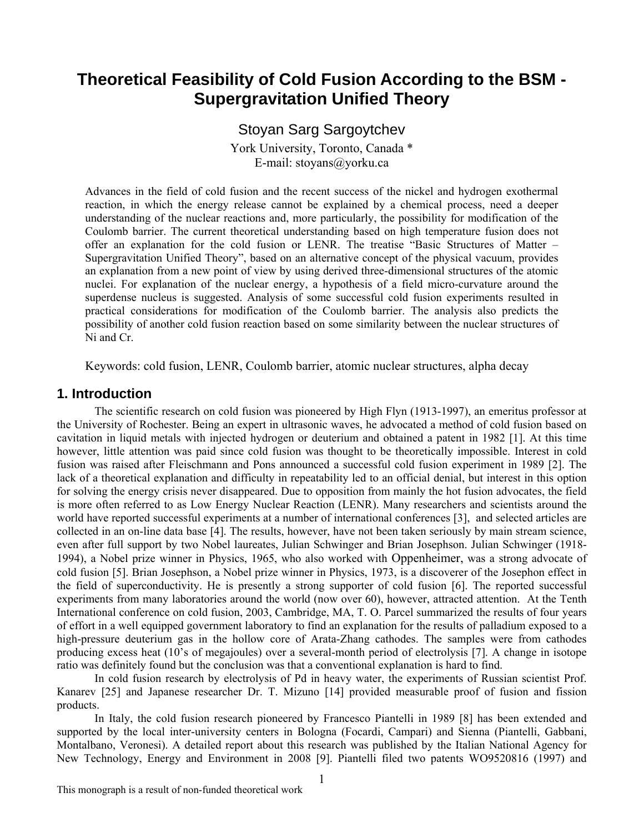# **Theoretical Feasibility of Cold Fusion According to the BSM - Supergravitation Unified Theory**

# Stoyan Sarg Sargoytchev

York University, Toronto, Canada \* E-mail: stoyans@yorku.ca

Advances in the field of cold fusion and the recent success of the nickel and hydrogen exothermal reaction, in which the energy release cannot be explained by a chemical process, need a deeper understanding of the nuclear reactions and, more particularly, the possibility for modification of the Coulomb barrier. The current theoretical understanding based on high temperature fusion does not offer an explanation for the cold fusion or LENR. The treatise "Basic Structures of Matter – Supergravitation Unified Theory", based on an alternative concept of the physical vacuum, provides an explanation from a new point of view by using derived three-dimensional structures of the atomic nuclei. For explanation of the nuclear energy, a hypothesis of a field micro-curvature around the superdense nucleus is suggested. Analysis of some successful cold fusion experiments resulted in practical considerations for modification of the Coulomb barrier. The analysis also predicts the possibility of another cold fusion reaction based on some similarity between the nuclear structures of Ni and Cr.

Keywords: cold fusion, LENR, Coulomb barrier, atomic nuclear structures, alpha decay

## **1. Introduction**

The scientific research on cold fusion was pioneered by High Flyn (1913-1997), an emeritus professor at the University of Rochester. Being an expert in ultrasonic waves, he advocated a method of cold fusion based on cavitation in liquid metals with injected hydrogen or deuterium and obtained a patent in 1982 [1]. At this time however, little attention was paid since cold fusion was thought to be theoretically impossible. Interest in cold fusion was raised after Fleischmann and Pons announced a successful cold fusion experiment in 1989 [2]. The lack of a theoretical explanation and difficulty in repeatability led to an official denial, but interest in this option for solving the energy crisis never disappeared. Due to opposition from mainly the hot fusion advocates, the field is more often referred to as Low Energy Nuclear Reaction (LENR). Many researchers and scientists around the world have reported successful experiments at a number of international conferences [3], and selected articles are collected in an on-line data base [4]. The results, however, have not been taken seriously by main stream science, even after full support by two Nobel laureates, Julian Schwinger and Brian Josephson. Julian Schwinger (1918- 1994), a Nobel prize winner in Physics, 1965, who also worked with Oppenheimer, was a strong advocate of cold fusion [5]. Brian Josephson, a Nobel prize winner in Physics, 1973, is a discoverer of the Josephon effect in the field of superconductivity. He is presently a strong supporter of cold fusion [6]. The reported successful experiments from many laboratories around the world (now over 60), however, attracted attention. At the Tenth International conference on cold fusion, 2003, Cambridge, MA, T. O. Parcel summarized the results of four years of effort in a well equipped government laboratory to find an explanation for the results of palladium exposed to a high-pressure deuterium gas in the hollow core of Arata-Zhang cathodes. The samples were from cathodes producing excess heat (10's of megajoules) over a several-month period of electrolysis [7]. A change in isotope ratio was definitely found but the conclusion was that a conventional explanation is hard to find.

In cold fusion research by electrolysis of Pd in heavy water, the experiments of Russian scientist Prof. Kanarev [25] and Japanese researcher Dr. T. Mizuno [14] provided measurable proof of fusion and fission products.

In Italy, the cold fusion research pioneered by Francesco Piantelli in 1989 [8] has been extended and supported by the local inter-university centers in Bologna (Focardi, Campari) and Sienna (Piantelli, Gabbani, Montalbano, Veronesi). A detailed report about this research was published by the Italian National Agency for New Technology, Energy and Environment in 2008 [9]. Piantelli filed two patents WO9520816 (1997) and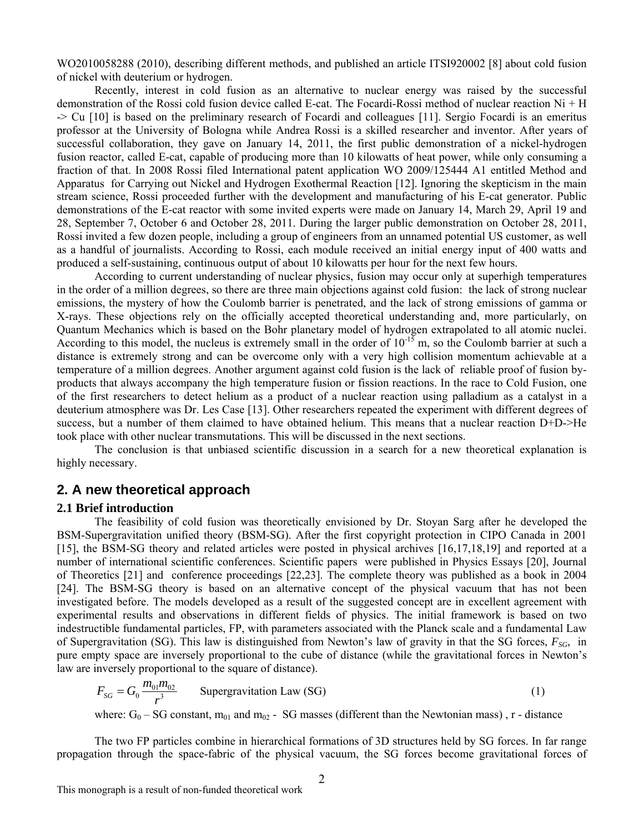WO2010058288 (2010), describing different methods, and published an article ITSI920002 [8] about cold fusion of nickel with deuterium or hydrogen.

 Recently, interest in cold fusion as an alternative to nuclear energy was raised by the successful demonstration of the Rossi cold fusion device called E-cat. The Focardi-Rossi method of nuclear reaction Ni + H -> Cu [10] is based on the preliminary research of Focardi and colleagues [11]. Sergio Focardi is an emeritus professor at the University of Bologna while Andrea Rossi is a skilled researcher and inventor. After years of successful collaboration, they gave on January 14, 2011, the first public demonstration of a nickel-hydrogen fusion reactor, called E-cat, capable of producing more than 10 kilowatts of heat power, while only consuming a fraction of that. In 2008 Rossi filed International patent application WO 2009/125444 A1 entitled Method and Apparatus for Carrying out Nickel and Hydrogen Exothermal Reaction [12]. Ignoring the skepticism in the main stream science, Rossi proceeded further with the development and manufacturing of his E-cat generator. Public demonstrations of the E-cat reactor with some invited experts were made on January 14, March 29, April 19 and 28, September 7, October 6 and October 28, 2011. During the larger public demonstration on October 28, 2011, Rossi invited a few dozen people, including a group of engineers from an unnamed potential US customer, as well as a handful of journalists. According to Rossi, each module received an initial energy input of 400 watts and produced a self-sustaining, continuous output of about 10 kilowatts per hour for the next few hours.

According to current understanding of nuclear physics, fusion may occur only at superhigh temperatures in the order of a million degrees, so there are three main objections against cold fusion: the lack of strong nuclear emissions, the mystery of how the Coulomb barrier is penetrated, and the lack of strong emissions of gamma or X-rays. These objections rely on the officially accepted theoretical understanding and, more particularly, on Quantum Mechanics which is based on the Bohr planetary model of hydrogen extrapolated to all atomic nuclei. According to this model, the nucleus is extremely small in the order of  $10^{-15}$  m, so the Coulomb barrier at such a distance is extremely strong and can be overcome only with a very high collision momentum achievable at a temperature of a million degrees. Another argument against cold fusion is the lack of reliable proof of fusion byproducts that always accompany the high temperature fusion or fission reactions. In the race to Cold Fusion, one of the first researchers to detect helium as a product of a nuclear reaction using palladium as a catalyst in a deuterium atmosphere was Dr. Les Case [13]. Other researchers repeated the experiment with different degrees of success, but a number of them claimed to have obtained helium. This means that a nuclear reaction D+D->He took place with other nuclear transmutations. This will be discussed in the next sections.

The conclusion is that unbiased scientific discussion in a search for a new theoretical explanation is highly necessary.

# **2. A new theoretical approach**

### **2.1 Brief introduction**

The feasibility of cold fusion was theoretically envisioned by Dr. Stoyan Sarg after he developed the BSM-Supergravitation unified theory (BSM-SG). After the first copyright protection in CIPO Canada in 2001 [15], the BSM-SG theory and related articles were posted in physical archives [16,17,18,19] and reported at a number of international scientific conferences. Scientific papers were published in Physics Essays [20], Journal of Theoretics [21] and conference proceedings [22,23]. The complete theory was published as a book in 2004 [24]. The BSM-SG theory is based on an alternative concept of the physical vacuum that has not been investigated before. The models developed as a result of the suggested concept are in excellent agreement with experimental results and observations in different fields of physics. The initial framework is based on two indestructible fundamental particles, FP, with parameters associated with the Planck scale and a fundamental Law of Supergravitation (SG). This law is distinguished from Newton's law of gravity in that the SG forces,  $F_{SG}$ , in pure empty space are inversely proportional to the cube of distance (while the gravitational forces in Newton's law are inversely proportional to the square of distance).

$$
F_{SG} = G_0 \frac{m_{01} m_{02}}{r^3}
$$
 Supergravitation Law (SG) (1)

where:  $G_0$  – SG constant,  $m_{01}$  and  $m_{02}$  - SG masses (different than the Newtonian mass), r - distance

The two FP particles combine in hierarchical formations of 3D structures held by SG forces. In far range propagation through the space-fabric of the physical vacuum, the SG forces become gravitational forces of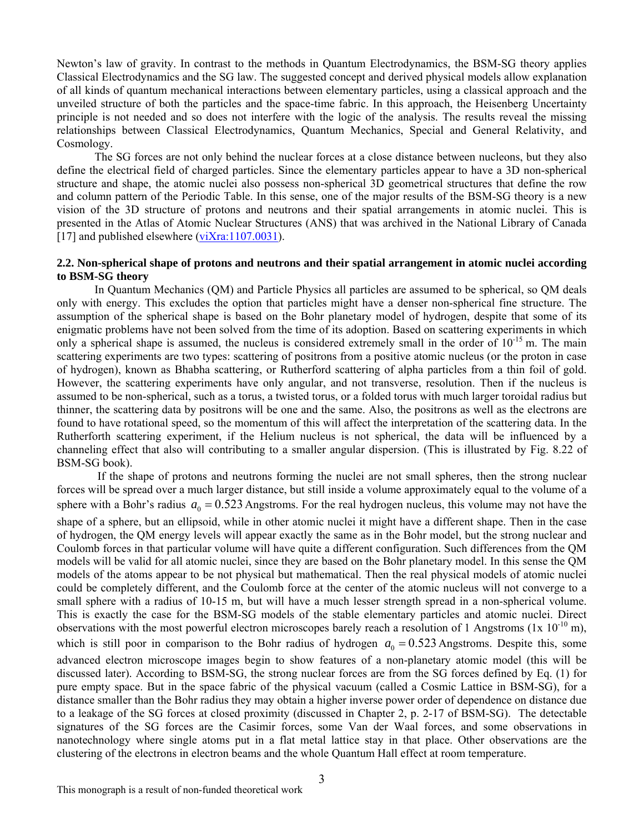Newton's law of gravity. In contrast to the methods in Quantum Electrodynamics, the BSM-SG theory applies Classical Electrodynamics and the SG law. The suggested concept and derived physical models allow explanation of all kinds of quantum mechanical interactions between elementary particles, using a classical approach and the unveiled structure of both the particles and the space-time fabric. In this approach, the Heisenberg Uncertainty principle is not needed and so does not interfere with the logic of the analysis. The results reveal the missing relationships between Classical Electrodynamics, Quantum Mechanics, Special and General Relativity, and Cosmology.

The SG forces are not only behind the nuclear forces at a close distance between nucleons, but they also define the electrical field of charged particles. Since the elementary particles appear to have a 3D non-spherical structure and shape, the atomic nuclei also possess non-spherical 3D geometrical structures that define the row and column pattern of the Periodic Table. In this sense, one of the major results of the BSM-SG theory is a new vision of the 3D structure of protons and neutrons and their spatial arrangements in atomic nuclei. This is presented in the Atlas of Atomic Nuclear Structures (ANS) that was archived in the National Library of Canada [17] and published elsewhere ([viXra:1107.0031\)](http://vixra.org/abs/1107.0031).

### **2.2. Non-spherical shape of protons and neutrons and their spatial arrangement in atomic nuclei according to BSM-SG theory**

In Quantum Mechanics (QM) and Particle Physics all particles are assumed to be spherical, so QM deals only with energy. This excludes the option that particles might have a denser non-spherical fine structure. The assumption of the spherical shape is based on the Bohr planetary model of hydrogen, despite that some of its enigmatic problems have not been solved from the time of its adoption. Based on scattering experiments in which only a spherical shape is assumed, the nucleus is considered extremely small in the order of 10<sup>-15</sup> m. The main scattering experiments are two types: scattering of positrons from a positive atomic nucleus (or the proton in case of hydrogen), known as Bhabha scattering, or Rutherford scattering of alpha particles from a thin foil of gold. However, the scattering experiments have only angular, and not transverse, resolution. Then if the nucleus is assumed to be non-spherical, such as a torus, a twisted torus, or a folded torus with much larger toroidal radius but thinner, the scattering data by positrons will be one and the same. Also, the positrons as well as the electrons are found to have rotational speed, so the momentum of this will affect the interpretation of the scattering data. In the Rutherforth scattering experiment, if the Helium nucleus is not spherical, the data will be influenced by a channeling effect that also will contributing to a smaller angular dispersion. (This is illustrated by Fig. 8.22 of BSM-SG book).

 If the shape of protons and neutrons forming the nuclei are not small spheres, then the strong nuclear forces will be spread over a much larger distance, but still inside a volume approximately equal to the volume of a sphere with a Bohr's radius  $a_0 = 0.523$  Angstroms. For the real hydrogen nucleus, this volume may not have the shape of a sphere, but an ellipsoid, while in other atomic nuclei it might have a different shape. Then in the case of hydrogen, the QM energy levels will appear exactly the same as in the Bohr model, but the strong nuclear and Coulomb forces in that particular volume will have quite a different configuration. Such differences from the QM models will be valid for all atomic nuclei, since they are based on the Bohr planetary model. In this sense the QM models of the atoms appear to be not physical but mathematical. Then the real physical models of atomic nuclei could be completely different, and the Coulomb force at the center of the atomic nucleus will not converge to a small sphere with a radius of 10-15 m, but will have a much lesser strength spread in a non-spherical volume. This is exactly the case for the BSM-SG models of the stable elementary particles and atomic nuclei. Direct observations with the most powerful electron microscopes barely reach a resolution of 1 Angstroms ( $1x 10^{-10}$  m), which is still poor in comparison to the Bohr radius of hydrogen  $a_0 = 0.523$  Angstroms. Despite this, some advanced electron microscope images begin to show features of a non-planetary atomic model (this will be discussed later). According to BSM-SG, the strong nuclear forces are from the SG forces defined by Eq. (1) for pure empty space. But in the space fabric of the physical vacuum (called a Cosmic Lattice in BSM-SG), for a distance smaller than the Bohr radius they may obtain a higher inverse power order of dependence on distance due to a leakage of the SG forces at closed proximity (discussed in Chapter 2, p. 2-17 of BSM-SG). The detectable signatures of the SG forces are the Casimir forces, some Van der Waal forces, and some observations in nanotechnology where single atoms put in a flat metal lattice stay in that place. Other observations are the clustering of the electrons in electron beams and the whole Quantum Hall effect at room temperature.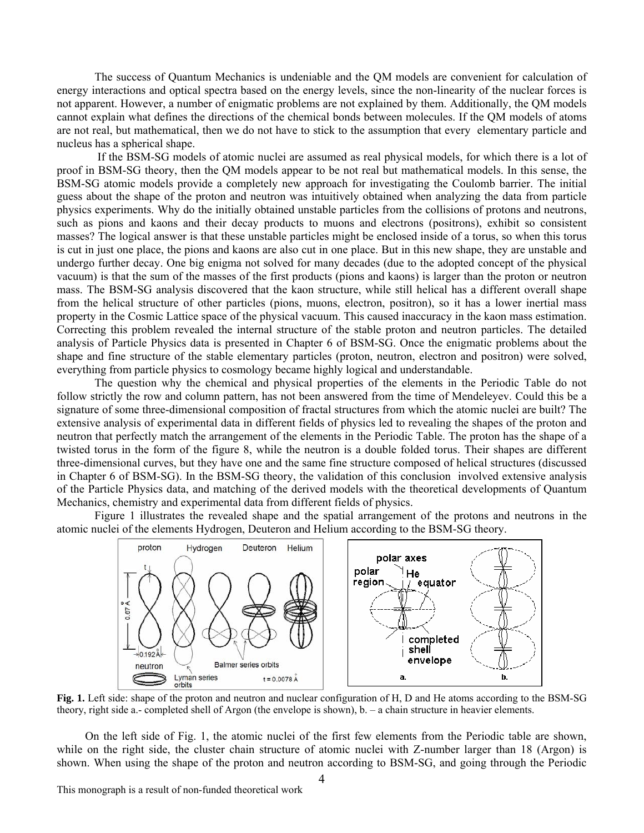The success of Quantum Mechanics is undeniable and the QM models are convenient for calculation of energy interactions and optical spectra based on the energy levels, since the non-linearity of the nuclear forces is not apparent. However, a number of enigmatic problems are not explained by them. Additionally, the QM models cannot explain what defines the directions of the chemical bonds between molecules. If the QM models of atoms are not real, but mathematical, then we do not have to stick to the assumption that every elementary particle and nucleus has a spherical shape.

 If the BSM-SG models of atomic nuclei are assumed as real physical models, for which there is a lot of proof in BSM-SG theory, then the QM models appear to be not real but mathematical models. In this sense, the BSM-SG atomic models provide a completely new approach for investigating the Coulomb barrier. The initial guess about the shape of the proton and neutron was intuitively obtained when analyzing the data from particle physics experiments. Why do the initially obtained unstable particles from the collisions of protons and neutrons, such as pions and kaons and their decay products to muons and electrons (positrons), exhibit so consistent masses? The logical answer is that these unstable particles might be enclosed inside of a torus, so when this torus is cut in just one place, the pions and kaons are also cut in one place. But in this new shape, they are unstable and undergo further decay. One big enigma not solved for many decades (due to the adopted concept of the physical vacuum) is that the sum of the masses of the first products (pions and kaons) is larger than the proton or neutron mass. The BSM-SG analysis discovered that the kaon structure, while still helical has a different overall shape from the helical structure of other particles (pions, muons, electron, positron), so it has a lower inertial mass property in the Cosmic Lattice space of the physical vacuum. This caused inaccuracy in the kaon mass estimation. Correcting this problem revealed the internal structure of the stable proton and neutron particles. The detailed analysis of Particle Physics data is presented in Chapter 6 of BSM-SG. Once the enigmatic problems about the shape and fine structure of the stable elementary particles (proton, neutron, electron and positron) were solved, everything from particle physics to cosmology became highly logical and understandable.

The question why the chemical and physical properties of the elements in the Periodic Table do not follow strictly the row and column pattern, has not been answered from the time of Mendeleyev. Could this be a signature of some three-dimensional composition of fractal structures from which the atomic nuclei are built? The extensive analysis of experimental data in different fields of physics led to revealing the shapes of the proton and neutron that perfectly match the arrangement of the elements in the Periodic Table. The proton has the shape of a twisted torus in the form of the figure 8, while the neutron is a double folded torus. Their shapes are different three-dimensional curves, but they have one and the same fine structure composed of helical structures (discussed in Chapter 6 of BSM-SG). In the BSM-SG theory, the validation of this conclusion involved extensive analysis of the Particle Physics data, and matching of the derived models with the theoretical developments of Quantum Mechanics, chemistry and experimental data from different fields of physics.

Figure 1 illustrates the revealed shape and the spatial arrangement of the protons and neutrons in the atomic nuclei of the elements Hydrogen, Deuteron and Helium according to the BSM-SG theory.



theory, right side a.- completed shell of Argon (the envelope is shown), b. – a chain structure in heavier elements.

On the left side of Fig. 1, the atomic nuclei of the first few elements from the Periodic table are shown, while on the right side, the cluster chain structure of atomic nuclei with Z-number larger than 18 (Argon) is shown. When using the shape of the proton and neutron according to BSM-SG, and going through the Periodic

This monograph is a result of non-funded theoretical work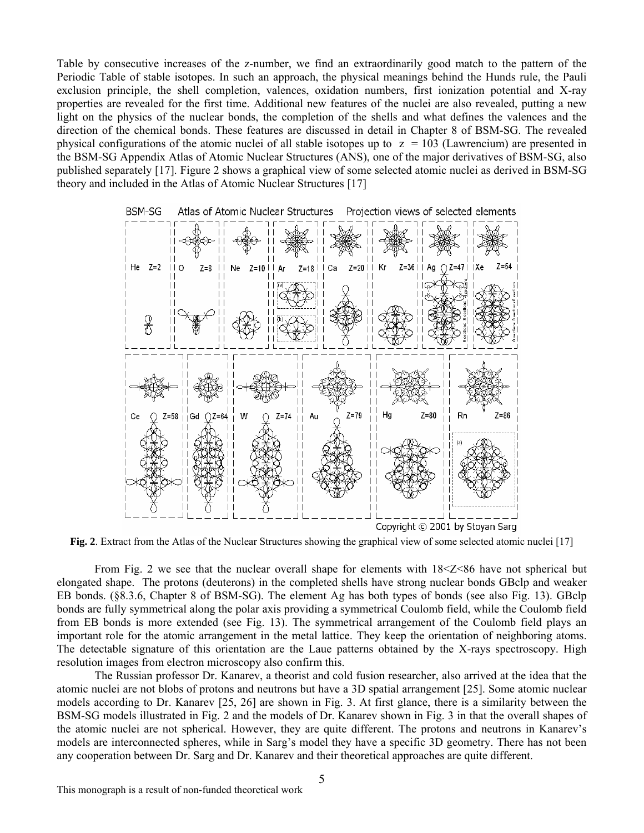Table by consecutive increases of the z-number, we find an extraordinarily good match to the pattern of the Periodic Table of stable isotopes. In such an approach, the physical meanings behind the Hunds rule, the Pauli exclusion principle, the shell completion, valences, oxidation numbers, first ionization potential and X-ray properties are revealed for the first time. Additional new features of the nuclei are also revealed, putting a new light on the physics of the nuclear bonds, the completion of the shells and what defines the valences and the direction of the chemical bonds. These features are discussed in detail in Chapter 8 of BSM-SG. The revealed physical configurations of the atomic nuclei of all stable isotopes up to  $z = 103$  (Lawrencium) are presented in the BSM-SG Appendix Atlas of Atomic Nuclear Structures (ANS), one of the major derivatives of BSM-SG, also published separately [17]. Figure 2 shows a graphical view of some selected atomic nuclei as derived in BSM-SG theory and included in the Atlas of Atomic Nuclear Structures [17]



**Fig. 2**. Extract from the Atlas of the Nuclear Structures showing the graphical view of some selected atomic nuclei [17]

From Fig. 2 we see that the nuclear overall shape for elements with  $18<2<86$  have not spherical but elongated shape. The protons (deuterons) in the completed shells have strong nuclear bonds GBclp and weaker EB bonds. (§8.3.6, Chapter 8 of BSM-SG). The element Ag has both types of bonds (see also Fig. 13). GBclp bonds are fully symmetrical along the polar axis providing a symmetrical Coulomb field, while the Coulomb field from EB bonds is more extended (see Fig. 13). The symmetrical arrangement of the Coulomb field plays an important role for the atomic arrangement in the metal lattice. They keep the orientation of neighboring atoms. The detectable signature of this orientation are the Laue patterns obtained by the X-rays spectroscopy. High resolution images from electron microscopy also confirm this.

The Russian professor Dr. Kanarev, a theorist and cold fusion researcher, also arrived at the idea that the atomic nuclei are not blobs of protons and neutrons but have a 3D spatial arrangement [25]. Some atomic nuclear models according to Dr. Kanarev [25, 26] are shown in Fig. 3. At first glance, there is a similarity between the BSM-SG models illustrated in Fig. 2 and the models of Dr. Kanarev shown in Fig. 3 in that the overall shapes of the atomic nuclei are not spherical. However, they are quite different. The protons and neutrons in Kanarev's models are interconnected spheres, while in Sarg's model they have a specific 3D geometry. There has not been any cooperation between Dr. Sarg and Dr. Kanarev and their theoretical approaches are quite different.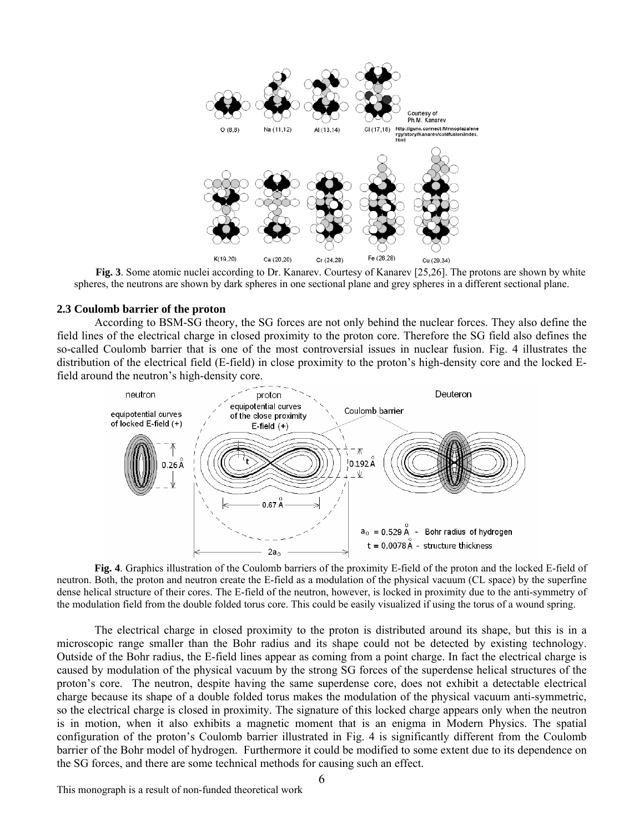

**Fig. 3**. Some atomic nuclei according to Dr. Kanarev. Courtesy of Kanarev [25,26]. The protons are shown by white spheres, the neutrons are shown by dark spheres in one sectional plane and grey spheres in a different sectional plane.

### **2.3 Coulomb barrier of the proton**

According to BSM-SG theory, the SG forces are not only behind the nuclear forces. They also define the field lines of the electrical charge in closed proximity to the proton core. Therefore the SG field also defines the so-called Coulomb barrier that is one of the most controversial issues in nuclear fusion. Fig. 4 illustrates the distribution of the electrical field (E-field) in close proximity to the proton's high-density core and the locked Efield around the neutron's high-density core.



**Fig. 4**. Graphics illustration of the Coulomb barriers of the proximity E-field of the proton and the locked E-field of neutron. Both, the proton and neutron create the E-field as a modulation of the physical vacuum (CL space) by the superfine dense helical structure of their cores. The E-field of the neutron, however, is locked in proximity due to the anti-symmetry of the modulation field from the double folded torus core. This could be easily visualized if using the torus of a wound spring.

The electrical charge in closed proximity to the proton is distributed around its shape, but this is in a microscopic range smaller than the Bohr radius and its shape could not be detected by existing technology. Outside of the Bohr radius, the E-field lines appear as coming from a point charge. In fact the electrical charge is caused by modulation of the physical vacuum by the strong SG forces of the superdense helical structures of the proton's core. The neutron, despite having the same superdense core, does not exhibit a detectable electrical charge because its shape of a double folded torus makes the modulation of the physical vacuum anti-symmetric, so the electrical charge is closed in proximity. The signature of this locked charge appears only when the neutron is in motion, when it also exhibits a magnetic moment that is an enigma in Modern Physics. The spatial configuration of the proton's Coulomb barrier illustrated in Fig. 4 is significantly different from the Coulomb barrier of the Bohr model of hydrogen. Furthermore it could be modified to some extent due to its dependence on the SG forces, and there are some technical methods for causing such an effect.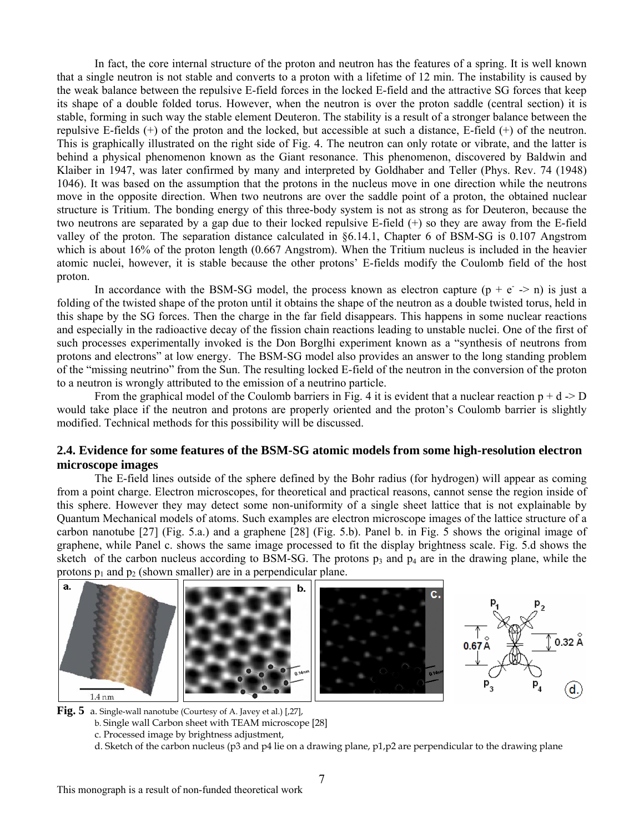In fact, the core internal structure of the proton and neutron has the features of a spring. It is well known that a single neutron is not stable and converts to a proton with a lifetime of 12 min. The instability is caused by the weak balance between the repulsive E-field forces in the locked E-field and the attractive SG forces that keep its shape of a double folded torus. However, when the neutron is over the proton saddle (central section) it is stable, forming in such way the stable element Deuteron. The stability is a result of a stronger balance between the repulsive E-fields (+) of the proton and the locked, but accessible at such a distance, E-field (+) of the neutron. This is graphically illustrated on the right side of Fig. 4. The neutron can only rotate or vibrate, and the latter is behind a physical phenomenon known as the Giant resonance. This phenomenon, discovered by Baldwin and Klaiber in 1947, was later confirmed by many and interpreted by Goldhaber and Teller (Phys. Rev. 74 (1948) 1046). It was based on the assumption that the protons in the nucleus move in one direction while the neutrons move in the opposite direction. When two neutrons are over the saddle point of a proton, the obtained nuclear structure is Tritium. The bonding energy of this three-body system is not as strong as for Deuteron, because the two neutrons are separated by a gap due to their locked repulsive E-field (+) so they are away from the E-field valley of the proton. The separation distance calculated in §6.14.1, Chapter 6 of BSM-SG is 0.107 Angstrom which is about 16% of the proton length (0.667 Angstrom). When the Tritium nucleus is included in the heavier atomic nuclei, however, it is stable because the other protons' E-fields modify the Coulomb field of the host proton.

In accordance with the BSM-SG model, the process known as electron capture  $(p + e^{-}$  > n) is just a folding of the twisted shape of the proton until it obtains the shape of the neutron as a double twisted torus, held in this shape by the SG forces. Then the charge in the far field disappears. This happens in some nuclear reactions and especially in the radioactive decay of the fission chain reactions leading to unstable nuclei. One of the first of such processes experimentally invoked is the Don Borglhi experiment known as a "synthesis of neutrons from protons and electrons" at low energy. The BSM-SG model also provides an answer to the long standing problem of the "missing neutrino" from the Sun. The resulting locked E-field of the neutron in the conversion of the proton to a neutron is wrongly attributed to the emission of a neutrino particle.

From the graphical model of the Coulomb barriers in Fig. 4 it is evident that a nuclear reaction  $p + d \rightarrow D$ would take place if the neutron and protons are properly oriented and the proton's Coulomb barrier is slightly modified. Technical methods for this possibility will be discussed.

# **2.4. Evidence for some features of the BSM-SG atomic models from some high-resolution electron microscope images**

The E-field lines outside of the sphere defined by the Bohr radius (for hydrogen) will appear as coming from a point charge. Electron microscopes, for theoretical and practical reasons, cannot sense the region inside of this sphere. However they may detect some non-uniformity of a single sheet lattice that is not explainable by Quantum Mechanical models of atoms. Such examples are electron microscope images of the lattice structure of a carbon nanotube [27] (Fig. 5.a.) and a graphene [28] (Fig. 5.b). Panel b. in Fig. 5 shows the original image of graphene, while Panel c. shows the same image processed to fit the display brightness scale. Fig. 5.d shows the sketch of the carbon nucleus according to BSM-SG. The protons  $p_3$  and  $p_4$  are in the drawing plane, while the protons  $p_1$  and  $p_2$  (shown smaller) are in a perpendicular plane.







b. Single wall Carbon sheet with TEAM microscope [28]

c. Processed image by brightness adjustment,

d. Sketch of the carbon nucleus (p3 and p4 lie on a drawing plane, p1,p2 are perpendicular to the drawing plane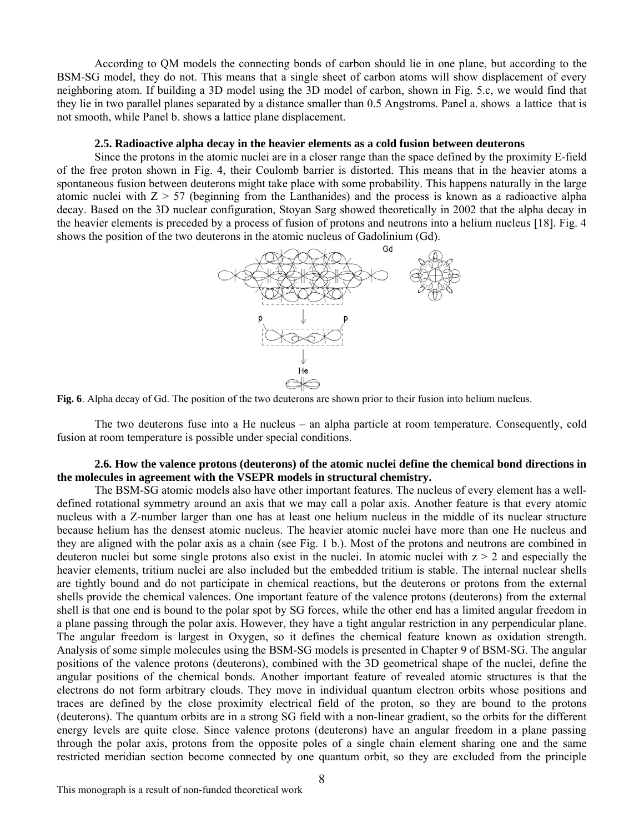According to QM models the connecting bonds of carbon should lie in one plane, but according to the BSM-SG model, they do not. This means that a single sheet of carbon atoms will show displacement of every neighboring atom. If building a 3D model using the 3D model of carbon, shown in Fig. 5.c, we would find that they lie in two parallel planes separated by a distance smaller than 0.5 Angstroms. Panel a. shows a lattice that is not smooth, while Panel b. shows a lattice plane displacement.

#### **2.5. Radioactive alpha decay in the heavier elements as a cold fusion between deuterons**

Since the protons in the atomic nuclei are in a closer range than the space defined by the proximity E-field of the free proton shown in Fig. 4, their Coulomb barrier is distorted. This means that in the heavier atoms a spontaneous fusion between deuterons might take place with some probability. This happens naturally in the large atomic nuclei with  $Z > 57$  (beginning from the Lanthanides) and the process is known as a radioactive alpha decay. Based on the 3D nuclear configuration, Stoyan Sarg showed theoretically in 2002 that the alpha decay in the heavier elements is preceded by a process of fusion of protons and neutrons into a helium nucleus [18]. Fig. 4 shows the position of the two deuterons in the atomic nucleus of Gadolinium (Gd).





The two deuterons fuse into a He nucleus – an alpha particle at room temperature. Consequently, cold fusion at room temperature is possible under special conditions.

### **2.6. How the valence protons (deuterons) of the atomic nuclei define the chemical bond directions in the molecules in agreement with the VSEPR models in structural chemistry.**

The BSM-SG atomic models also have other important features. The nucleus of every element has a welldefined rotational symmetry around an axis that we may call a polar axis. Another feature is that every atomic nucleus with a Z-number larger than one has at least one helium nucleus in the middle of its nuclear structure because helium has the densest atomic nucleus. The heavier atomic nuclei have more than one He nucleus and they are aligned with the polar axis as a chain (see Fig. 1 b.). Most of the protons and neutrons are combined in deuteron nuclei but some single protons also exist in the nuclei. In atomic nuclei with  $z \geq 2$  and especially the heavier elements, tritium nuclei are also included but the embedded tritium is stable. The internal nuclear shells are tightly bound and do not participate in chemical reactions, but the deuterons or protons from the external shells provide the chemical valences. One important feature of the valence protons (deuterons) from the external shell is that one end is bound to the polar spot by SG forces, while the other end has a limited angular freedom in a plane passing through the polar axis. However, they have a tight angular restriction in any perpendicular plane. The angular freedom is largest in Oxygen, so it defines the chemical feature known as oxidation strength. Analysis of some simple molecules using the BSM-SG models is presented in Chapter 9 of BSM-SG. The angular positions of the valence protons (deuterons), combined with the 3D geometrical shape of the nuclei, define the angular positions of the chemical bonds. Another important feature of revealed atomic structures is that the electrons do not form arbitrary clouds. They move in individual quantum electron orbits whose positions and traces are defined by the close proximity electrical field of the proton, so they are bound to the protons (deuterons). The quantum orbits are in a strong SG field with a non-linear gradient, so the orbits for the different energy levels are quite close. Since valence protons (deuterons) have an angular freedom in a plane passing through the polar axis, protons from the opposite poles of a single chain element sharing one and the same restricted meridian section become connected by one quantum orbit, so they are excluded from the principle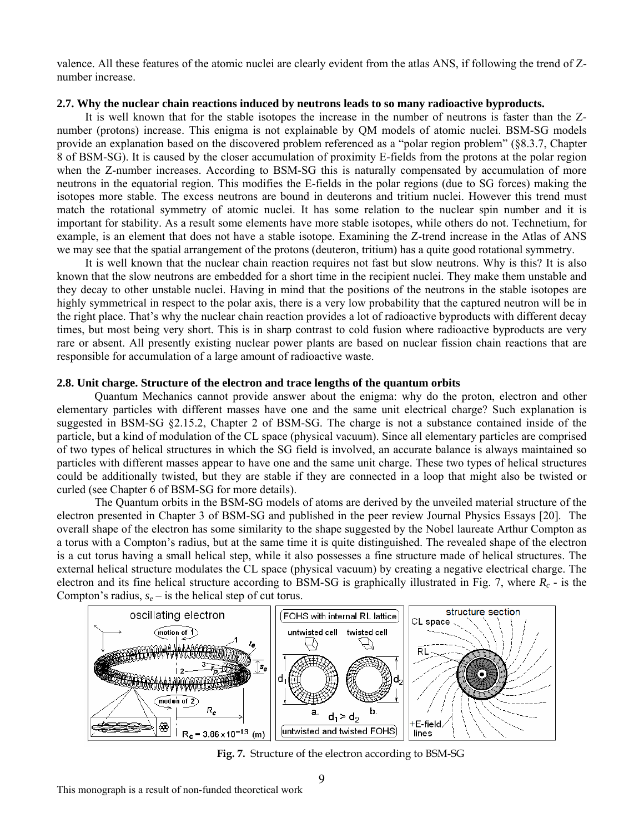valence. All these features of the atomic nuclei are clearly evident from the atlas ANS, if following the trend of Znumber increase.

### **2.7. Why the nuclear chain reactions induced by neutrons leads to so many radioactive byproducts.**

It is well known that for the stable isotopes the increase in the number of neutrons is faster than the Znumber (protons) increase. This enigma is not explainable by QM models of atomic nuclei. BSM-SG models provide an explanation based on the discovered problem referenced as a "polar region problem" (§8.3.7, Chapter 8 of BSM-SG). It is caused by the closer accumulation of proximity E-fields from the protons at the polar region when the Z-number increases. According to BSM-SG this is naturally compensated by accumulation of more neutrons in the equatorial region. This modifies the E-fields in the polar regions (due to SG forces) making the isotopes more stable. The excess neutrons are bound in deuterons and tritium nuclei. However this trend must match the rotational symmetry of atomic nuclei. It has some relation to the nuclear spin number and it is important for stability. As a result some elements have more stable isotopes, while others do not. Technetium, for example, is an element that does not have a stable isotope. Examining the Z-trend increase in the Atlas of ANS we may see that the spatial arrangement of the protons (deuteron, tritium) has a quite good rotational symmetry.

It is well known that the nuclear chain reaction requires not fast but slow neutrons. Why is this? It is also known that the slow neutrons are embedded for a short time in the recipient nuclei. They make them unstable and they decay to other unstable nuclei. Having in mind that the positions of the neutrons in the stable isotopes are highly symmetrical in respect to the polar axis, there is a very low probability that the captured neutron will be in the right place. That's why the nuclear chain reaction provides a lot of radioactive byproducts with different decay times, but most being very short. This is in sharp contrast to cold fusion where radioactive byproducts are very rare or absent. All presently existing nuclear power plants are based on nuclear fission chain reactions that are responsible for accumulation of a large amount of radioactive waste.

#### **2.8. Unit charge. Structure of the electron and trace lengths of the quantum orbits**

Quantum Mechanics cannot provide answer about the enigma: why do the proton, electron and other elementary particles with different masses have one and the same unit electrical charge? Such explanation is suggested in BSM-SG §2.15.2, Chapter 2 of BSM-SG. The charge is not a substance contained inside of the particle, but a kind of modulation of the CL space (physical vacuum). Since all elementary particles are comprised of two types of helical structures in which the SG field is involved, an accurate balance is always maintained so particles with different masses appear to have one and the same unit charge. These two types of helical structures could be additionally twisted, but they are stable if they are connected in a loop that might also be twisted or curled (see Chapter 6 of BSM-SG for more details).

The Quantum orbits in the BSM-SG models of atoms are derived by the unveiled material structure of the electron presented in Chapter 3 of BSM-SG and published in the peer review Journal Physics Essays [20]. The overall shape of the electron has some similarity to the shape suggested by the Nobel laureate Arthur Compton as a torus with a Compton's radius, but at the same time it is quite distinguished. The revealed shape of the electron is a cut torus having a small helical step, while it also possesses a fine structure made of helical structures. The external helical structure modulates the CL space (physical vacuum) by creating a negative electrical charge. The electron and its fine helical structure according to BSM-SG is graphically illustrated in Fig. 7, where  $R<sub>c</sub>$  - is the Compton's radius,  $s_e$  – is the helical step of cut torus.



**Fig. 7.** Structure of the electron according to BSM-SG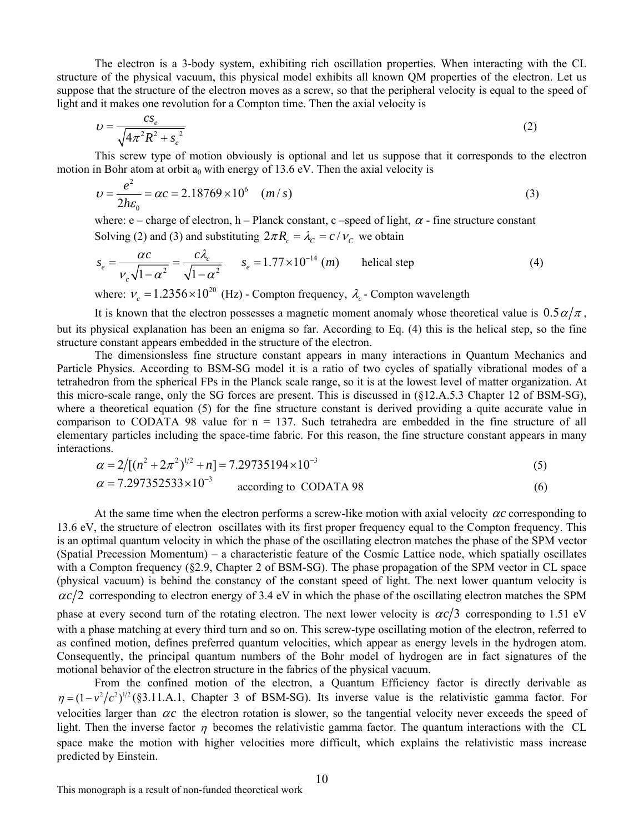The electron is a 3-body system, exhibiting rich oscillation properties. When interacting with the CL structure of the physical vacuum, this physical model exhibits all known QM properties of the electron. Let us suppose that the structure of the electron moves as a screw, so that the peripheral velocity is equal to the speed of light and it makes one revolution for a Compton time. Then the axial velocity is

$$
v = \frac{cs_e}{\sqrt{4\pi^2 R^2 + s_e^2}}
$$
 (2)

This screw type of motion obviously is optional and let us suppose that it corresponds to the electron motion in Bohr atom at orbit  $a_0$  with energy of 13.6 eV. Then the axial velocity is

$$
v = \frac{e^2}{2h\varepsilon_0} = \alpha c = 2.18769 \times 10^6 \quad (m/s)
$$
 (3)

where:  $e$  – charge of electron, h – Planck constant, c –speed of light,  $\alpha$  - fine structure constant Solving (2) and (3) and substituting  $2\pi R_c = \lambda_c = c/v_c$  we obtain

$$
s_e = \frac{\alpha c}{v_c \sqrt{1 - \alpha^2}} = \frac{c\lambda_c}{\sqrt{1 - \alpha^2}} \qquad s_e = 1.77 \times 10^{-14} \ (m) \qquad \text{helical step} \tag{4}
$$

where:  $v_c = 1.2356 \times 10^{20}$  (Hz) - Compton frequency,  $\lambda_c$  - Compton wavelength

It is known that the electron possesses a magnetic moment anomaly whose theoretical value is  $0.5 \alpha/\pi$ , but its physical explanation has been an enigma so far. According to Eq. (4) this is the helical step, so the fine structure constant appears embedded in the structure of the electron.

The dimensionsless fine structure constant appears in many interactions in Quantum Mechanics and Particle Physics. According to BSM-SG model it is a ratio of two cycles of spatially vibrational modes of a tetrahedron from the spherical FPs in the Planck scale range, so it is at the lowest level of matter organization. At this micro-scale range, only the SG forces are present. This is discussed in (§12.A.5.3 Chapter 12 of BSM-SG), where a theoretical equation (5) for the fine structure constant is derived providing a quite accurate value in comparison to CODATA 98 value for  $n = 137$ . Such tetrahedra are embedded in the fine structure of all elementary particles including the space-time fabric. For this reason, the fine structure constant appears in many interactions.

$$
\alpha = 2/[(n^2 + 2\pi^2)^{1/2} + n] = 7.29735194 \times 10^{-3}
$$
\n(5)

$$
\alpha = 7.297352533 \times 10^{-3}
$$
 according to CODATA 98 (6)

At the same time when the electron performs a screw-like motion with axial velocity  $\alpha c$  corresponding to 13.6 eV, the structure of electron oscillates with its first proper frequency equal to the Compton frequency. This is an optimal quantum velocity in which the phase of the oscillating electron matches the phase of the SPM vector (Spatial Precession Momentum) – a characteristic feature of the Cosmic Lattice node, which spatially oscillates with a Compton frequency (§2.9, Chapter 2 of BSM-SG). The phase propagation of the SPM vector in CL space (physical vacuum) is behind the constancy of the constant speed of light. The next lower quantum velocity is  $\alpha c/2$  corresponding to electron energy of 3.4 eV in which the phase of the oscillating electron matches the SPM phase at every second turn of the rotating electron. The next lower velocity is  $\alpha c/3$  corresponding to 1.51 eV with a phase matching at every third turn and so on. This screw-type oscillating motion of the electron, referred to as confined motion, defines preferred quantum velocities, which appear as energy levels in the hydrogen atom. Consequently, the principal quantum numbers of the Bohr model of hydrogen are in fact signatures of the motional behavior of the electron structure in the fabrics of the physical vacuum.

From the confined motion of the electron, a Quantum Efficiency factor is directly derivable as  $\eta = (1 - v^2/c^2)^{1/2}$  (§3.11.A.1, Chapter 3 of BSM-SG). Its inverse value is the relativistic gamma factor. For velocities larger than  $\alpha c$  the electron rotation is slower, so the tangential velocity never exceeds the speed of light. Then the inverse factor  $\eta$  becomes the relativistic gamma factor. The quantum interactions with the CL space make the motion with higher velocities more difficult, which explains the relativistic mass increase predicted by Einstein.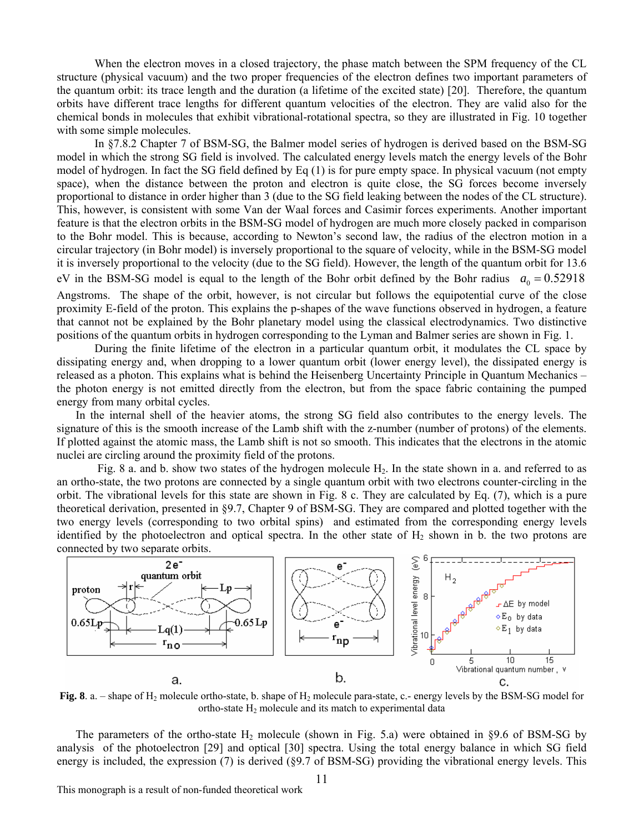When the electron moves in a closed trajectory, the phase match between the SPM frequency of the CL structure (physical vacuum) and the two proper frequencies of the electron defines two important parameters of the quantum orbit: its trace length and the duration (a lifetime of the excited state) [20]. Therefore, the quantum orbits have different trace lengths for different quantum velocities of the electron. They are valid also for the chemical bonds in molecules that exhibit vibrational-rotational spectra, so they are illustrated in Fig. 10 together with some simple molecules.

In §7.8.2 Chapter 7 of BSM-SG, the Balmer model series of hydrogen is derived based on the BSM-SG model in which the strong SG field is involved. The calculated energy levels match the energy levels of the Bohr model of hydrogen. In fact the SG field defined by Eq (1) is for pure empty space. In physical vacuum (not empty space), when the distance between the proton and electron is quite close, the SG forces become inversely proportional to distance in order higher than 3 (due to the SG field leaking between the nodes of the CL structure). This, however, is consistent with some Van der Waal forces and Casimir forces experiments. Another important feature is that the electron orbits in the BSM-SG model of hydrogen are much more closely packed in comparison to the Bohr model. This is because, according to Newton's second law, the radius of the electron motion in a circular trajectory (in Bohr model) is inversely proportional to the square of velocity, while in the BSM-SG model it is inversely proportional to the velocity (due to the SG field). However, the length of the quantum orbit for 13.6 eV in the BSM-SG model is equal to the length of the Bohr orbit defined by the Bohr radius  $a_0 = 0.52918$ Angstroms. The shape of the orbit, however, is not circular but follows the equipotential curve of the close proximity E-field of the proton. This explains the p-shapes of the wave functions observed in hydrogen, a feature that cannot not be explained by the Bohr planetary model using the classical electrodynamics. Two distinctive positions of the quantum orbits in hydrogen corresponding to the Lyman and Balmer series are shown in Fig. 1.

During the finite lifetime of the electron in a particular quantum orbit, it modulates the CL space by dissipating energy and, when dropping to a lower quantum orbit (lower energy level), the dissipated energy is released as a photon. This explains what is behind the Heisenberg Uncertainty Principle in Quantum Mechanics – the photon energy is not emitted directly from the electron, but from the space fabric containing the pumped energy from many orbital cycles.

 In the internal shell of the heavier atoms, the strong SG field also contributes to the energy levels. The signature of this is the smooth increase of the Lamb shift with the z-number (number of protons) of the elements. If plotted against the atomic mass, the Lamb shift is not so smooth. This indicates that the electrons in the atomic nuclei are circling around the proximity field of the protons.

Fig. 8 a. and b. show two states of the hydrogen molecule  $H_2$ . In the state shown in a. and referred to as an ortho-state, the two protons are connected by a single quantum orbit with two electrons counter-circling in the orbit. The vibrational levels for this state are shown in Fig. 8 c. They are calculated by Eq. (7), which is a pure theoretical derivation, presented in §9.7, Chapter 9 of BSM-SG. They are compared and plotted together with the two energy levels (corresponding to two orbital spins) and estimated from the corresponding energy levels identified by the photoelectron and optical spectra. In the other state of  $H_2$  shown in b. the two protons are connected by two separate orbits.



**Fig. 8**. a. – shape of H<sub>2</sub> molecule ortho-state, b. shape of H<sub>2</sub> molecule para-state, c.- energy levels by the BSM-SG model for ortho-state  $H_2$  molecule and its match to experimental data

The parameters of the ortho-state  $H_2$  molecule (shown in Fig. 5.a) were obtained in §9.6 of BSM-SG by analysis of the photoelectron [29] and optical [30] spectra. Using the total energy balance in which SG field energy is included, the expression (7) is derived (§9.7 of BSM-SG) providing the vibrational energy levels. This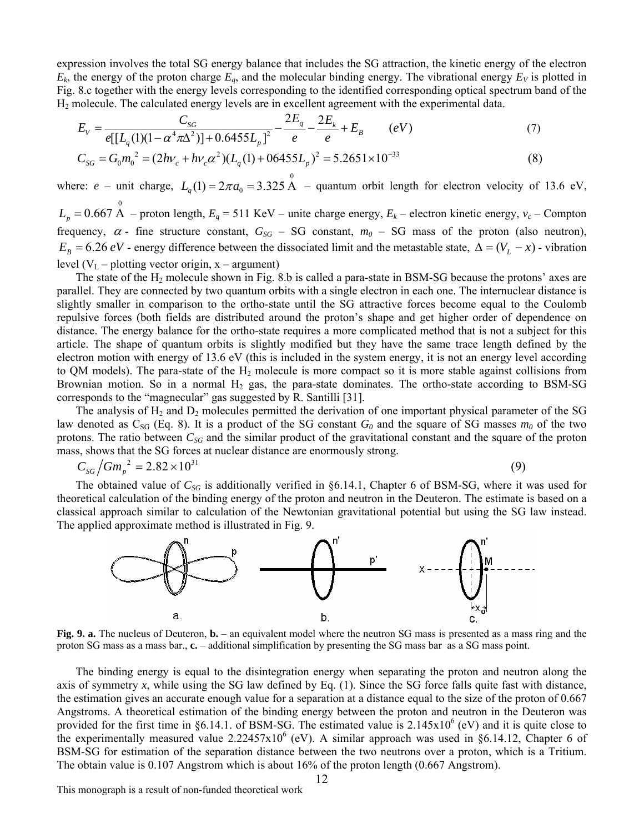expression involves the total SG energy balance that includes the SG attraction, the kinetic energy of the electron  $E_k$ , the energy of the proton charge  $E_q$ , and the molecular binding energy. The vibrational energy  $E_V$  is plotted in Fig. 8.c together with the energy levels corresponding to the identified corresponding optical spectrum band of the H2 molecule. The calculated energy levels are in excellent agreement with the experimental data.

$$
E_V = \frac{C_{SG}}{e\left[\left[L_q(1)(1 - \alpha^4 \pi \Delta^2)\right] + 0.6455 L_p\right]^2} - \frac{2E_q}{e} - \frac{2E_k}{e} + E_B \qquad (eV)
$$
\n(7)

$$
C_{SG} = G_0 m_0^2 = (2h\nu_c + h\nu_c \alpha^2)(L_q(1) + 06455L_p)^2 = 5.2651 \times 10^{-33}
$$
\n(8)

where: *e* – unit charge,  $L_q(1) = 2\pi a_0 = 3.325 \text{ Å}$  – quantum orbit length for electron velocity of 13.6 eV,  $L_p = 0.667 \text{ Å}$  – proton length,  $E_q = 511 \text{ KeV}$  – unite charge energy,  $E_k$  – electron kinetic energy,  $v_c$  – Compton frequency,  $\alpha$  - fine structure constant,  $G_{SG}$  – SG constant,  $m_0$  – SG mass of the proton (also neutron),  $E_B = 6.26 \text{ eV}$  - energy difference between the dissociated limit and the metastable state,  $\Delta = (V_L - x)$  - vibration level  $(V_L$  – plotting vector origin, x – argument)

The state of the  $H_2$  molecule shown in Fig. 8.b is called a para-state in BSM-SG because the protons' axes are parallel. They are connected by two quantum orbits with a single electron in each one. The internuclear distance is slightly smaller in comparison to the ortho-state until the SG attractive forces become equal to the Coulomb repulsive forces (both fields are distributed around the proton's shape and get higher order of dependence on distance. The energy balance for the ortho-state requires a more complicated method that is not a subject for this article. The shape of quantum orbits is slightly modified but they have the same trace length defined by the electron motion with energy of 13.6 eV (this is included in the system energy, it is not an energy level according to QM models). The para-state of the  $H_2$  molecule is more compact so it is more stable against collisions from Brownian motion. So in a normal  $H_2$  gas, the para-state dominates. The ortho-state according to BSM-SG corresponds to the "magnecular" gas suggested by R. Santilli [31].

The analysis of  $H_2$  and  $D_2$  molecules permitted the derivation of one important physical parameter of the SG law denoted as  $C_{SG}$  (Eq. 8). It is a product of the SG constant  $G_0$  and the square of SG masses  $m_0$  of the two protons. The ratio between  $C_{SG}$  and the similar product of the gravitational constant and the square of the proton mass, shows that the SG forces at nuclear distance are enormously strong.

$$
C_{SG}/Gm_p^2 = 2.82 \times 10^{31} \tag{9}
$$

The obtained value of  $C_{SG}$  is additionally verified in §6.14.1, Chapter 6 of BSM-SG, where it was used for theoretical calculation of the binding energy of the proton and neutron in the Deuteron. The estimate is based on a classical approach similar to calculation of the Newtonian gravitational potential but using the SG law instead. The applied approximate method is illustrated in Fig. 9.



**Fig. 9. a.** The nucleus of Deuteron, **b.** – an equivalent model where the neutron SG mass is presented as a mass ring and the proton SG mass as a mass bar., **c.** – additional simplification by presenting the SG mass bar as a SG mass point.

 The binding energy is equal to the disintegration energy when separating the proton and neutron along the axis of symmetry x, while using the SG law defined by Eq.  $(1)$ . Since the SG force falls quite fast with distance, the estimation gives an accurate enough value for a separation at a distance equal to the size of the proton of 0.667 Angstroms. A theoretical estimation of the binding energy between the proton and neutron in the Deuteron was provided for the first time in §6.14.1. of BSM-SG. The estimated value is  $2.145 \times 10^6$  (eV) and it is quite close to the experimentally measured value  $2.22457 \times 10^6$  (eV). A similar approach was used in §6.14.12, Chapter 6 of BSM-SG for estimation of the separation distance between the two neutrons over a proton, which is a Tritium. The obtain value is 0.107 Angstrom which is about 16% of the proton length (0.667 Angstrom).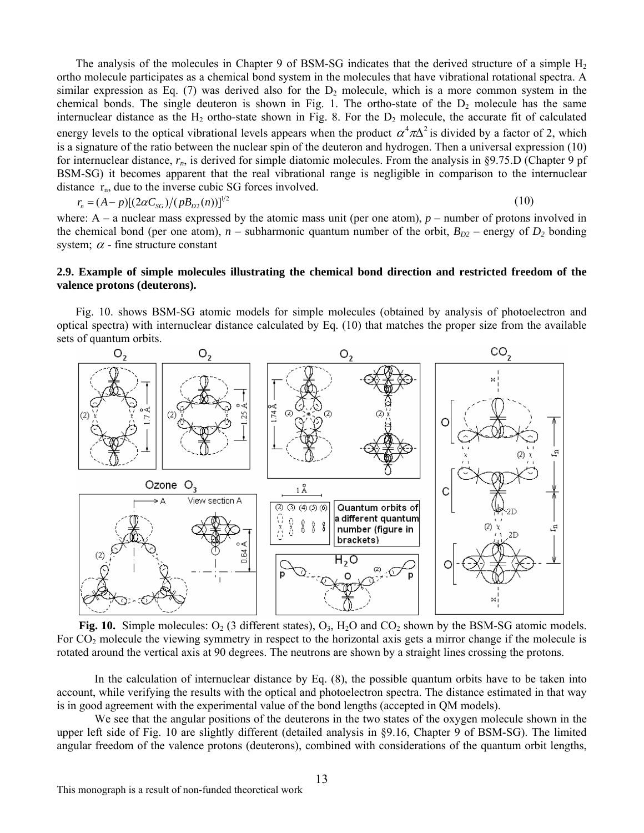energy levels to the optical vibrational levels appears when the product  $\alpha^4 \pi \Delta^2$  is divided by a factor of 2, which The analysis of the molecules in Chapter 9 of BSM-SG indicates that the derived structure of a simple  $H_2$ ortho molecule participates as a chemical bond system in the molecules that have vibrational rotational spectra. A similar expression as Eq. (7) was derived also for the  $D_2$  molecule, which is a more common system in the chemical bonds. The single deuteron is shown in Fig. 1. The ortho-state of the  $D_2$  molecule has the same internuclear distance as the  $H_2$  ortho-state shown in Fig. 8. For the  $D_2$  molecule, the accurate fit of calculated is a signature of the ratio between the nuclear spin of the deuteron and hydrogen. Then a universal expression (10) for internuclear distance, *rn*, is derived for simple diatomic molecules. From the analysis in §9.75.D (Chapter 9 pf BSM-SG) it becomes apparent that the real vibrational range is negligible in comparison to the internuclear distance  $r_n$ , due to the inverse cubic SG forces involved.

$$
r_n = (A - p)[(2\alpha C_{SG})/(p B_{D2}(n))]^{1/2}
$$
\n(10)

where:  $A - a$  nuclear mass expressed by the atomic mass unit (per one atom),  $p -$  number of protons involved in the chemical bond (per one atom),  $n$  – subharmonic quantum number of the orbit,  $B_{D2}$  – energy of  $D_2$  bonding system;  $\alpha$  - fine structure constant

### **2.9. Example of simple molecules illustrating the chemical bond direction and restricted freedom of the valence protons (deuterons).**

 Fig. 10. shows BSM-SG atomic models for simple molecules (obtained by analysis of photoelectron and optical spectra) with internuclear distance calculated by Eq. (10) that matches the proper size from the available sets of quantum orbits.



**Fig. 10.** Simple molecules:  $O_2$  (3 different states),  $O_3$ ,  $H_2O$  and  $CO_2$  shown by the BSM-SG atomic models. For CO<sub>2</sub> molecule the viewing symmetry in respect to the horizontal axis gets a mirror change if the molecule is rotated around the vertical axis at 90 degrees. The neutrons are shown by a straight lines crossing the protons.

In the calculation of internuclear distance by Eq. (8), the possible quantum orbits have to be taken into account, while verifying the results with the optical and photoelectron spectra. The distance estimated in that way is in good agreement with the experimental value of the bond lengths (accepted in QM models).

We see that the angular positions of the deuterons in the two states of the oxygen molecule shown in the upper left side of Fig. 10 are slightly different (detailed analysis in §9.16, Chapter 9 of BSM-SG). The limited angular freedom of the valence protons (deuterons), combined with considerations of the quantum orbit lengths,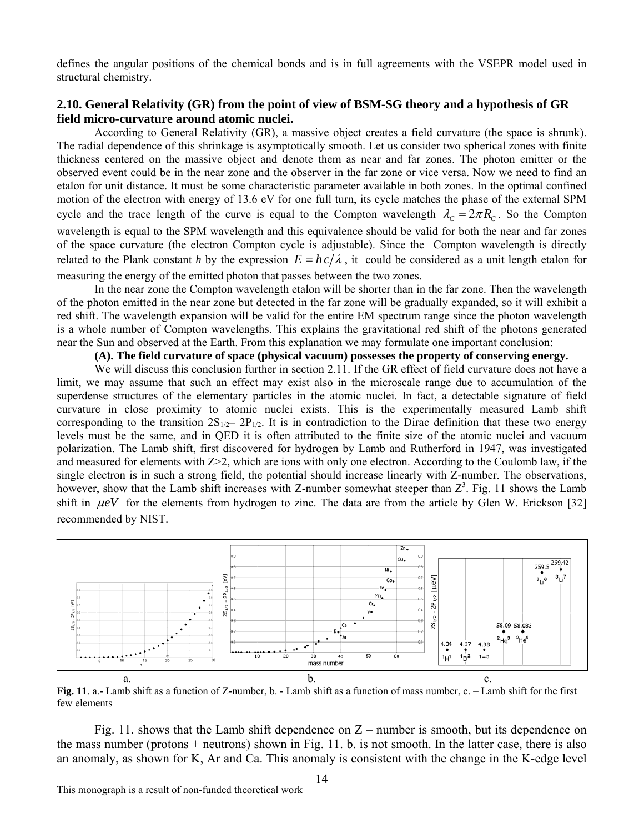defines the angular positions of the chemical bonds and is in full agreements with the VSEPR model used in structural chemistry.

# **2.10. General Relativity (GR) from the point of view of BSM-SG theory and a hypothesis of GR field micro-curvature around atomic nuclei.**

cycle and the trace length of the curve is equal to the Compton wavelength  $\lambda_c = 2\pi R_c$ . So the Compton According to General Relativity (GR), a massive object creates a field curvature (the space is shrunk). The radial dependence of this shrinkage is asymptotically smooth. Let us consider two spherical zones with finite thickness centered on the massive object and denote them as near and far zones. The photon emitter or the observed event could be in the near zone and the observer in the far zone or vice versa. Now we need to find an etalon for unit distance. It must be some characteristic parameter available in both zones. In the optimal confined motion of the electron with energy of 13.6 eV for one full turn, its cycle matches the phase of the external SPM wavelength is equal to the SPM wavelength and this equivalence should be valid for both the near and far zones of the space curvature (the electron Compton cycle is adjustable). Since the Compton wavelength is directly related to the Plank constant *h* by the expression  $E = hc/\lambda$ , it could be considered as a unit length etalon for measuring the energy of the emitted photon that passes between the two zones.

In the near zone the Compton wavelength etalon will be shorter than in the far zone. Then the wavelength of the photon emitted in the near zone but detected in the far zone will be gradually expanded, so it will exhibit a red shift. The wavelength expansion will be valid for the entire EM spectrum range since the photon wavelength is a whole number of Compton wavelengths. This explains the gravitational red shift of the photons generated near the Sun and observed at the Earth. From this explanation we may formulate one important conclusion:

# **(A). The field curvature of space (physical vacuum) possesses the property of conserving energy.**

We will discuss this conclusion further in section 2.11. If the GR effect of field curvature does not have a limit, we may assume that such an effect may exist also in the microscale range due to accumulation of the superdense structures of the elementary particles in the atomic nuclei. In fact, a detectable signature of field curvature in close proximity to atomic nuclei exists. This is the experimentally measured Lamb shift corresponding to the transition  $2S_{1/2} - 2P_{1/2}$ . It is in contradiction to the Dirac definition that these two energy levels must be the same, and in QED it is often attributed to the finite size of the atomic nuclei and vacuum polarization. The Lamb shift, first discovered for hydrogen by Lamb and Rutherford in 1947, was investigated and measured for elements with  $Z>2$ , which are ions with only one electron. According to the Coulomb law, if the single electron is in such a strong field, the potential should increase linearly with Z-number. The observations, however, show that the Lamb shift increases with Z-number somewhat steeper than  $Z^3$ . Fig. 11 shows the Lamb shift in  $\mu eV$  for the elements from hydrogen to zinc. The data are from the article by Glen W. Erickson [32] recommended by NIST.



**Fig. 11**. a.- Lamb shift as a function of Z-number, b. - Lamb shift as a function of mass number, c. – Lamb shift for the first few elements

Fig. 11. shows that the Lamb shift dependence on  $Z$  – number is smooth, but its dependence on the mass number (protons + neutrons) shown in Fig. 11. b. is not smooth. In the latter case, there is also an anomaly, as shown for K, Ar and Ca. This anomaly is consistent with the change in the K-edge level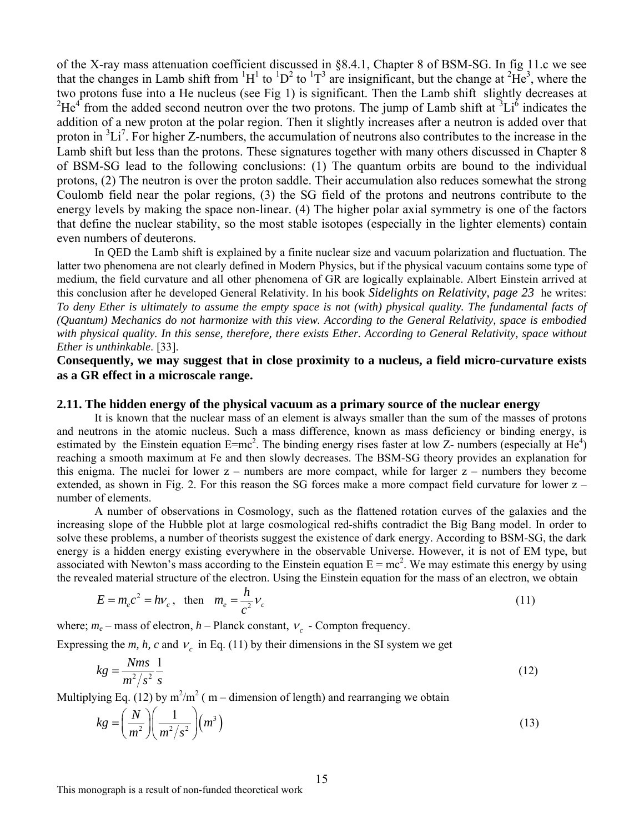of the X-ray mass attenuation coefficient discussed in §8.4.1, Chapter 8 of BSM-SG. In fig 11.c we see that the changes in Lamb shift from  ${}^{1}H^{1}$  to  ${}^{1}D^{2}$  to  ${}^{1}T^{3}$  are insignificant, but the change at  ${}^{2}He^{3}$ , where the two protons fuse into a He nucleus (see Fig 1) is significant. Then the Lamb shift slightly decreases at  ${}^{2}He^{4}$  from the added second neutron over the two protons. The jump of Lamb shift at  ${}^{3}Li^{6}$  indicates the addition of a new proton at the polar region. Then it slightly increases after a neutron is added over that proton in <sup>3</sup>Li<sup>7</sup>. For higher Z-numbers, the accumulation of neutrons also contributes to the increase in the Lamb shift but less than the protons. These signatures together with many others discussed in Chapter 8 of BSM-SG lead to the following conclusions: (1) The quantum orbits are bound to the individual protons, (2) The neutron is over the proton saddle. Their accumulation also reduces somewhat the strong Coulomb field near the polar regions, (3) the SG field of the protons and neutrons contribute to the energy levels by making the space non-linear. (4) The higher polar axial symmetry is one of the factors that define the nuclear stability, so the most stable isotopes (especially in the lighter elements) contain even numbers of deuterons.

In QED the Lamb shift is explained by a finite nuclear size and vacuum polarization and fluctuation. The latter two phenomena are not clearly defined in Modern Physics, but if the physical vacuum contains some type of medium, the field curvature and all other phenomena of GR are logically explainable. Albert Einstein arrived at this conclusion after he developed General Relativity. In his book *Sidelights on Relativity, page 23* he writes: *To deny Ether is ultimately to assume the empty space is not (with) physical quality. The fundamental facts of (Quantum) Mechanics do not harmonize with this view. According to the General Relativity, space is embodied with physical quality. In this sense, therefore, there exists Ether. According to General Relativity, space without Ether is unthinkable*. [33].

# **Consequently, we may suggest that in close proximity to a nucleus, a field micro-curvature exists as a GR effect in a microscale range.**

### **2.11. The hidden energy of the physical vacuum as a primary source of the nuclear energy**

It is known that the nuclear mass of an element is always smaller than the sum of the masses of protons and neutrons in the atomic nucleus. Such a mass difference, known as mass deficiency or binding energy, is estimated by the Einstein equation  $E=mc^2$ . The binding energy rises faster at low Z- numbers (especially at He<sup>4</sup>) reaching a smooth maximum at Fe and then slowly decreases. The BSM-SG theory provides an explanation for this enigma. The nuclei for lower  $z$  – numbers are more compact, while for larger  $z$  – numbers they become extended, as shown in Fig. 2. For this reason the SG forces make a more compact field curvature for lower z – number of elements.

 A number of observations in Cosmology, such as the flattened rotation curves of the galaxies and the increasing slope of the Hubble plot at large cosmological red-shifts contradict the Big Bang model. In order to solve these problems, a number of theorists suggest the existence of dark energy. According to BSM-SG, the dark energy is a hidden energy existing everywhere in the observable Universe. However, it is not of EM type, but associated with Newton's mass according to the Einstein equation  $E = mc^2$ . We may estimate this energy by using the revealed material structure of the electron. Using the Einstein equation for the mass of an electron, we obtain

$$
E = m_e c^2 = h v_c, \text{ then } m_e = \frac{h}{c^2} v_c
$$
 (11)

where;  $m_e$  – mass of electron,  $h$  – Planck constant,  $V_c$  - Compton frequency.

Expressing the *m, h, c* and  $v_c$  in Eq. (11) by their dimensions in the SI system we get

$$
kg = \frac{Nms}{m^2/s^2} \frac{1}{s} \tag{12}
$$

Multiplying Eq. (12) by  $m^2/m^2$  (m – dimension of length) and rearranging we obtain

$$
kg = \left(\frac{N}{m^2}\right) \left(\frac{1}{m^2/s^2}\right) \left(m^3\right)
$$
\n(13)

This monograph is a result of non-funded theoretical work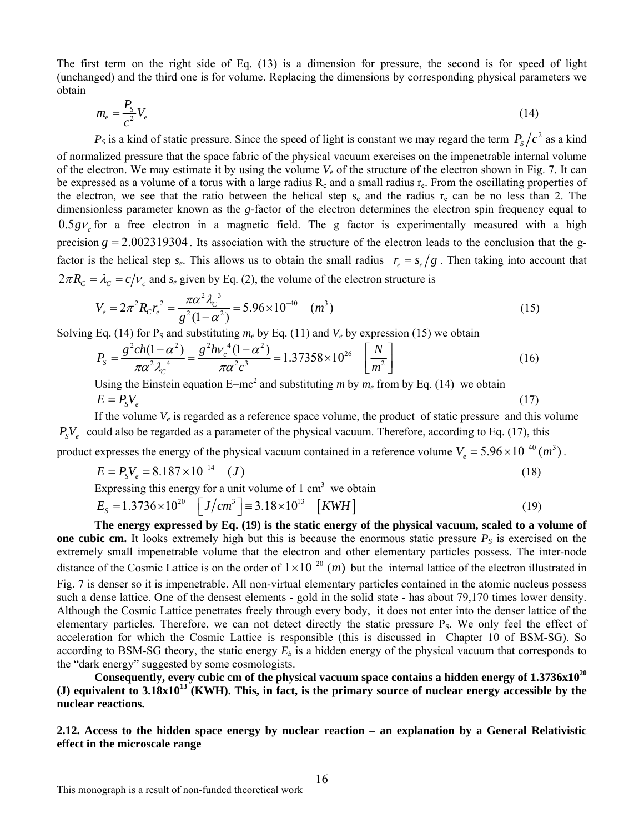The first term on the right side of Eq. (13) is a dimension for pressure, the second is for speed of light (unchanged) and the third one is for volume. Replacing the dimensions by corresponding physical parameters we obtain

$$
m_e = \frac{P_s}{c^2} V_e \tag{14}
$$

 $P<sub>S</sub>$  is a kind of static pressure. Since the speed of light is constant we may regard the term  $P<sub>S</sub>/c<sup>2</sup>$  as a kind of normalized pressure that the space fabric of the physical vacuum exercises on the impenetrable internal volume of the electron. We may estimate it by using the volume *Ve* of the structure of the electron shown in Fig. 7. It can be expressed as a volume of a torus with a large radius  $R_c$  and a small radius  $r_e$ . From the oscillating properties of the electron, we see that the ratio between the helical step  $s_e$  and the radius  $r_e$  can be no less than 2. The dimensionless parameter known as the *g*-factor of the electron determines the electron spin frequency equal to  $0.5 gV<sub>c</sub>$  for a free electron in a magnetic field. The g factor is experimentally measured with a high precision  $g = 2.002319304$ . Its association with the structure of the electron leads to the conclusion that the gfactor is the helical step  $s_e$ . This allows us to obtain the small radius  $r_e = s_e/g$ . Then taking into account that  $2\pi R_c = \lambda_c = c/v_c$  and  $s_e$  given by Eq. (2), the volume of the electron structure is

$$
V_e = 2\pi^2 R_c r_e^2 = \frac{\pi \alpha^2 \lambda_c^3}{g^2 (1 - \alpha^2)} = 5.96 \times 10^{-40} \quad (m^3)
$$
 (15)

Solving Eq. (14) for P<sub>S</sub> and substituting  $m_e$  by Eq. (11) and  $V_e$  by expression (15) we obtain

$$
P_{s} = \frac{g^{2}ch(1-\alpha^{2})}{\pi\alpha^{2}\lambda_{c}^{4}} = \frac{g^{2}h\nu_{c}^{4}(1-\alpha^{2})}{\pi\alpha^{2}c^{3}} = 1.37358 \times 10^{26} \quad \left[\frac{N}{m^{2}}\right]
$$
(16)

Using the Einstein equation  $E=mc^2$  and substituting *m* by  $m_e$  from by Eq. (14) we obtain  $E = P_{S}V_{e}$  (17)

If the volume  $V_e$  is regarded as a reference space volume, the product of static pressure and this volume  $P_sV_e$  could also be regarded as a parameter of the physical vacuum. Therefore, according to Eq. (17), this

product expresses the energy of the physical vacuum contained in a reference volume  $V_e = 5.96 \times 10^{-40} (m^3)$ .

$$
E = P_{s}V_{e} = 8.187 \times 10^{-14} \quad (J)
$$
\n<sup>(18)</sup>

Expressing this energy for a unit volume of  $1 \text{ cm}^3$  we obtain

$$
E_{s} = 1.3736 \times 10^{20} \quad \left[ J/cm^{3} \right] \equiv 3.18 \times 10^{13} \quad \left[ KWH \right] \tag{19}
$$

**The energy expressed by Eq. (19) is the static energy of the physical vacuum, scaled to a volume of one cubic cm.** It looks extremely high but this is because the enormous static pressure  $P<sub>S</sub>$  is exercised on the extremely small impenetrable volume that the electron and other elementary particles possess. The inter-node distance of the Cosmic Lattice is on the order of  $1 \times 10^{-20}$  (*m*) but the internal lattice of the electron illustrated in Fig. 7 is denser so it is impenetrable. All non-virtual elementary particles contained in the atomic nucleus possess such a dense lattice. One of the densest elements - gold in the solid state - has about 79,170 times lower density. Although the Cosmic Lattice penetrates freely through every body, it does not enter into the denser lattice of the elementary particles. Therefore, we can not detect directly the static pressure P<sub>S</sub>. We only feel the effect of acceleration for which the Cosmic Lattice is responsible (this is discussed in Chapter 10 of BSM-SG). So according to BSM-SG theory, the static energy  $E<sub>S</sub>$  is a hidden energy of the physical vacuum that corresponds to the "dark energy" suggested by some cosmologists.

Consequently, every cubic cm of the physical vacuum space contains a hidden energy of 1.3736x10<sup>20</sup> **(J) equivalent to 3.18x1013 (KWH). This, in fact, is the primary source of nuclear energy accessible by the nuclear reactions.** 

**2.12. Access to the hidden space energy by nuclear reaction – an explanation by a General Relativistic effect in the microscale range**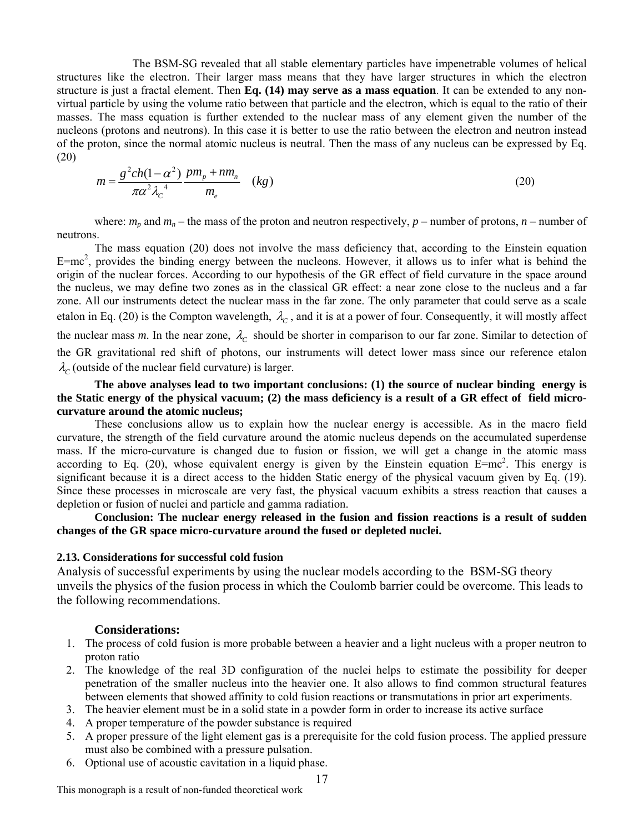The BSM-SG revealed that all stable elementary particles have impenetrable volumes of helical structures like the electron. Their larger mass means that they have larger structures in which the electron structure is just a fractal element. Then **Eq. (14) may serve as a mass equation**. It can be extended to any nonvirtual particle by using the volume ratio between that particle and the electron, which is equal to the ratio of their masses. The mass equation is further extended to the nuclear mass of any element given the number of the nucleons (protons and neutrons). In this case it is better to use the ratio between the electron and neutron instead of the proton, since the normal atomic nucleus is neutral. Then the mass of any nucleus can be expressed by Eq. (20)

$$
m = \frac{g^2 ch(1 - \alpha^2)}{\pi \alpha^2 \lambda_c^4} \frac{pm_p + nm_n}{m_e} \quad (kg)
$$
\n
$$
(20)
$$

where:  $m_p$  and  $m_n$  – the mass of the proton and neutron respectively,  $p$  – number of protons,  $n$  – number of neutrons.

 The mass equation (20) does not involve the mass deficiency that, according to the Einstein equation  $E=mc^2$ , provides the binding energy between the nucleons. However, it allows us to infer what is behind the origin of the nuclear forces. According to our hypothesis of the GR effect of field curvature in the space around the nucleus, we may define two zones as in the classical GR effect: a near zone close to the nucleus and a far zone. All our instruments detect the nuclear mass in the far zone. The only parameter that could serve as a scale etalon in Eq. (20) is the Compton wavelength,  $\lambda_c$ , and it is at a power of four. Consequently, it will mostly affect the nuclear mass *m*. In the near zone,  $\lambda_c$  should be shorter in comparison to our far zone. Similar to detection of the GR gravitational red shift of photons, our instruments will detect lower mass since our reference etalon  $\lambda_c$  (outside of the nuclear field curvature) is larger.

### **The above analyses lead to two important conclusions: (1) the source of nuclear binding energy is the Static energy of the physical vacuum; (2) the mass deficiency is a result of a GR effect of field microcurvature around the atomic nucleus;**

 These conclusions allow us to explain how the nuclear energy is accessible. As in the macro field curvature, the strength of the field curvature around the atomic nucleus depends on the accumulated superdense mass. If the micro-curvature is changed due to fusion or fission, we will get a change in the atomic mass according to Eq. (20), whose equivalent energy is given by the Einstein equation  $E=mc^2$ . This energy is significant because it is a direct access to the hidden Static energy of the physical vacuum given by Eq. (19). Since these processes in microscale are very fast, the physical vacuum exhibits a stress reaction that causes a depletion or fusion of nuclei and particle and gamma radiation.

**Conclusion: The nuclear energy released in the fusion and fission reactions is a result of sudden changes of the GR space micro-curvature around the fused or depleted nuclei.** 

### **2.13. Considerations for successful cold fusion**

Analysis of successful experiments by using the nuclear models according to the BSM-SG theory unveils the physics of the fusion process in which the Coulomb barrier could be overcome. This leads to the following recommendations.

### **Considerations:**

- 1. The process of cold fusion is more probable between a heavier and a light nucleus with a proper neutron to proton ratio
- 2. The knowledge of the real 3D configuration of the nuclei helps to estimate the possibility for deeper penetration of the smaller nucleus into the heavier one. It also allows to find common structural features between elements that showed affinity to cold fusion reactions or transmutations in prior art experiments.
- 3. The heavier element must be in a solid state in a powder form in order to increase its active surface
- 4. A proper temperature of the powder substance is required
- 5. A proper pressure of the light element gas is a prerequisite for the cold fusion process. The applied pressure must also be combined with a pressure pulsation.
- 6. Optional use of acoustic cavitation in a liquid phase.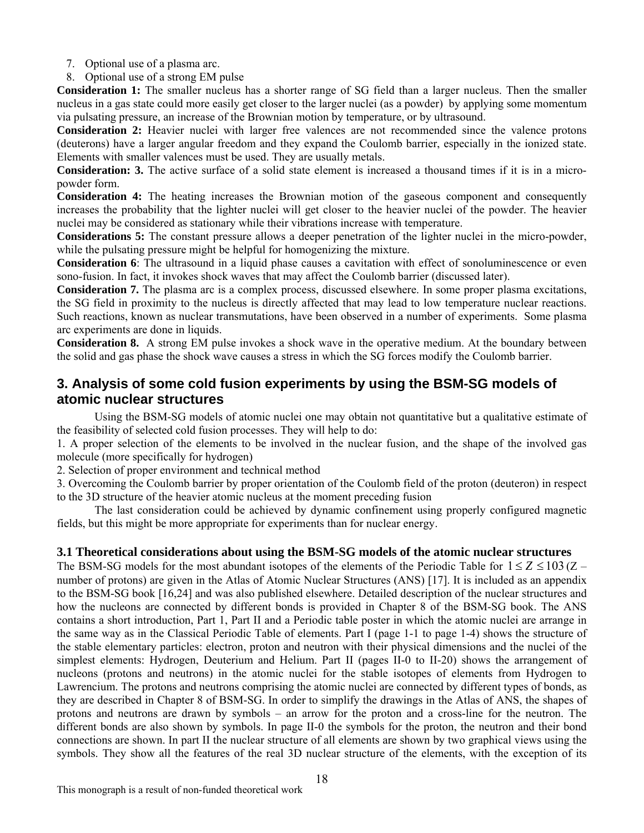- 7. Optional use of a plasma arc.
- 8. Optional use of a strong EM pulse

**Consideration 1:** The smaller nucleus has a shorter range of SG field than a larger nucleus. Then the smaller nucleus in a gas state could more easily get closer to the larger nuclei (as a powder) by applying some momentum via pulsating pressure, an increase of the Brownian motion by temperature, or by ultrasound.

**Consideration 2:** Heavier nuclei with larger free valences are not recommended since the valence protons (deuterons) have a larger angular freedom and they expand the Coulomb barrier, especially in the ionized state. Elements with smaller valences must be used. They are usually metals.

**Consideration: 3.** The active surface of a solid state element is increased a thousand times if it is in a micropowder form.

**Consideration 4:** The heating increases the Brownian motion of the gaseous component and consequently increases the probability that the lighter nuclei will get closer to the heavier nuclei of the powder. The heavier nuclei may be considered as stationary while their vibrations increase with temperature.

**Considerations 5:** The constant pressure allows a deeper penetration of the lighter nuclei in the micro-powder, while the pulsating pressure might be helpful for homogenizing the mixture.

**Consideration 6**: The ultrasound in a liquid phase causes a cavitation with effect of sonoluminescence or even sono-fusion. In fact, it invokes shock waves that may affect the Coulomb barrier (discussed later).

**Consideration 7.** The plasma arc is a complex process, discussed elsewhere. In some proper plasma excitations, the SG field in proximity to the nucleus is directly affected that may lead to low temperature nuclear reactions. Such reactions, known as nuclear transmutations, have been observed in a number of experiments. Some plasma arc experiments are done in liquids.

**Consideration 8.** A strong EM pulse invokes a shock wave in the operative medium. At the boundary between the solid and gas phase the shock wave causes a stress in which the SG forces modify the Coulomb barrier.

# **3. Analysis of some cold fusion experiments by using the BSM-SG models of atomic nuclear structures**

 Using the BSM-SG models of atomic nuclei one may obtain not quantitative but a qualitative estimate of the feasibility of selected cold fusion processes. They will help to do:

1. A proper selection of the elements to be involved in the nuclear fusion, and the shape of the involved gas molecule (more specifically for hydrogen)

2. Selection of proper environment and technical method

3. Overcoming the Coulomb barrier by proper orientation of the Coulomb field of the proton (deuteron) in respect to the 3D structure of the heavier atomic nucleus at the moment preceding fusion

 The last consideration could be achieved by dynamic confinement using properly configured magnetic fields, but this might be more appropriate for experiments than for nuclear energy.

# **3.1 Theoretical considerations about using the BSM-SG models of the atomic nuclear structures**

The BSM-SG models for the most abundant isotopes of the elements of the Periodic Table for  $1 \le Z \le 103 (Z$ number of protons) are given in the Atlas of Atomic Nuclear Structures (ANS) [17]. It is included as an appendix to the BSM-SG book [16,24] and was also published elsewhere. Detailed description of the nuclear structures and how the nucleons are connected by different bonds is provided in Chapter 8 of the BSM-SG book. The ANS contains a short introduction, Part 1, Part II and a Periodic table poster in which the atomic nuclei are arrange in the same way as in the Classical Periodic Table of elements. Part I (page 1-1 to page 1-4) shows the structure of the stable elementary particles: electron, proton and neutron with their physical dimensions and the nuclei of the simplest elements: Hydrogen, Deuterium and Helium. Part II (pages II-0 to II-20) shows the arrangement of nucleons (protons and neutrons) in the atomic nuclei for the stable isotopes of elements from Hydrogen to Lawrencium. The protons and neutrons comprising the atomic nuclei are connected by different types of bonds, as they are described in Chapter 8 of BSM-SG. In order to simplify the drawings in the Atlas of ANS, the shapes of protons and neutrons are drawn by symbols – an arrow for the proton and a cross-line for the neutron. The different bonds are also shown by symbols. In page II-0 the symbols for the proton, the neutron and their bond connections are shown. In part II the nuclear structure of all elements are shown by two graphical views using the symbols. They show all the features of the real 3D nuclear structure of the elements, with the exception of its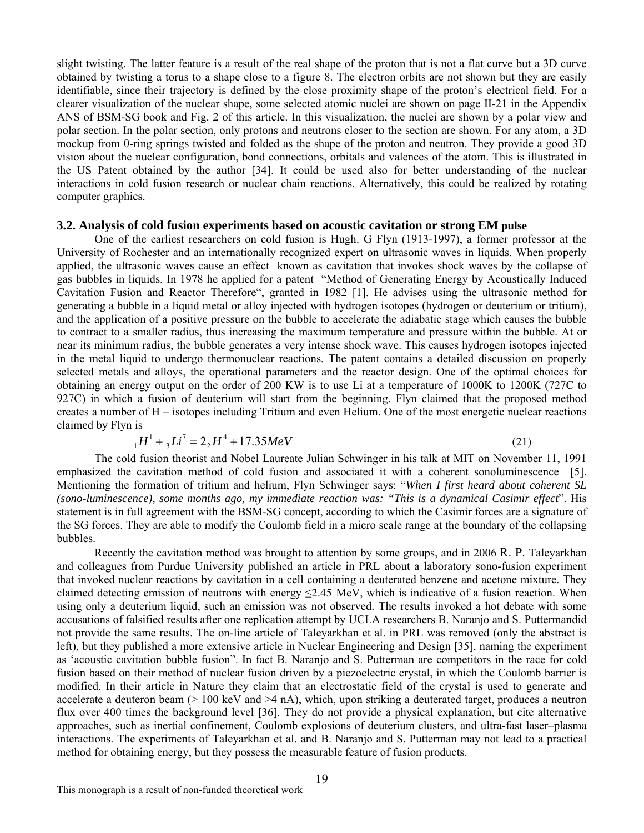slight twisting. The latter feature is a result of the real shape of the proton that is not a flat curve but a 3D curve obtained by twisting a torus to a shape close to a figure 8. The electron orbits are not shown but they are easily identifiable, since their trajectory is defined by the close proximity shape of the proton's electrical field. For a clearer visualization of the nuclear shape, some selected atomic nuclei are shown on page II-21 in the Appendix ANS of BSM-SG book and Fig. 2 of this article. In this visualization, the nuclei are shown by a polar view and polar section. In the polar section, only protons and neutrons closer to the section are shown. For any atom, a 3D mockup from 0-ring springs twisted and folded as the shape of the proton and neutron. They provide a good 3D vision about the nuclear configuration, bond connections, orbitals and valences of the atom. This is illustrated in the US Patent obtained by the author [34]. It could be used also for better understanding of the nuclear interactions in cold fusion research or nuclear chain reactions. Alternatively, this could be realized by rotating computer graphics.

### **3.2. Analysis of cold fusion experiments based on acoustic cavitation or strong EM pulse**

One of the earliest researchers on cold fusion is Hugh. G Flyn (1913-1997), a former professor at the University of Rochester and an internationally recognized expert on ultrasonic waves in liquids. When properly applied, the ultrasonic waves cause an effect known as cavitation that invokes shock waves by the collapse of gas bubbles in liquids. In 1978 he applied for a patent "Method of Generating Energy by Acoustically Induced Cavitation Fusion and Reactor Therefore", granted in 1982 [1]. He advises using the ultrasonic method for generating a bubble in a liquid metal or alloy injected with hydrogen isotopes (hydrogen or deuterium or tritium), and the application of a positive pressure on the bubble to accelerate the adiabatic stage which causes the bubble to contract to a smaller radius, thus increasing the maximum temperature and pressure within the bubble. At or near its minimum radius, the bubble generates a very intense shock wave. This causes hydrogen isotopes injected in the metal liquid to undergo thermonuclear reactions. The patent contains a detailed discussion on properly selected metals and alloys, the operational parameters and the reactor design. One of the optimal choices for obtaining an energy output on the order of 200 KW is to use Li at a temperature of 1000K to 1200K (727C to 927C) in which a fusion of deuterium will start from the beginning. Flyn claimed that the proposed method creates a number of H – isotopes including Tritium and even Helium. One of the most energetic nuclear reactions claimed by Flyn is

$$
{}_{1}H^{1} + {}_{3}Li^{7} = 2 {}_{2}H^{4} + 17.35 MeV
$$
 (21)

The cold fusion theorist and Nobel Laureate Julian Schwinger in his talk at MIT on November 11, 1991 emphasized the cavitation method of cold fusion and associated it with a coherent sonoluminescence [5]. Mentioning the formation of tritium and helium, Flyn Schwinger says: "*When I first heard about coherent SL (sono-luminescence), some months ago, my immediate reaction was: "This is a dynamical Casimir effect*". His statement is in full agreement with the BSM-SG concept, according to which the Casimir forces are a signature of the SG forces. They are able to modify the Coulomb field in a micro scale range at the boundary of the collapsing bubbles.

Recently the cavitation method was brought to attention by some groups, and in 2006 R. P. Taleyarkhan and colleagues from Purdue University published an article in PRL about a laboratory sono-fusion experiment that invoked nuclear reactions by cavitation in a cell containing a deuterated benzene and acetone mixture. They claimed detecting emission of neutrons with energy  $\leq$ 2.45 MeV, which is indicative of a fusion reaction. When using only a deuterium liquid, such an emission was not observed. The results invoked a hot debate with some accusations of falsified results after one replication attempt by UCLA researchers B. Naranjo and S. Puttermandid not provide the same results. The on-line article of Taleyarkhan et al. in PRL was removed (only the abstract is left), but they published a more extensive article in Nuclear Engineering and Design [35], naming the experiment as 'acoustic cavitation bubble fusion". In fact B. Naranjo and S. Putterman are competitors in the race for cold fusion based on their method of nuclear fusion driven by a piezoelectric crystal, in which the Coulomb barrier is modified. In their article in Nature they claim that an electrostatic field of the crystal is used to generate and accelerate a deuteron beam  $(> 100 \text{ keV}$  and  $> 4 \text{ nA})$ , which, upon striking a deuterated target, produces a neutron flux over 400 times the background level [36]. They do not provide a physical explanation, but cite alternative approaches, such as inertial confinement, Coulomb explosions of deuterium clusters, and ultra-fast laser–plasma interactions. The experiments of Taleyarkhan et al. and B. Naranjo and S. Putterman may not lead to a practical method for obtaining energy, but they possess the measurable feature of fusion products.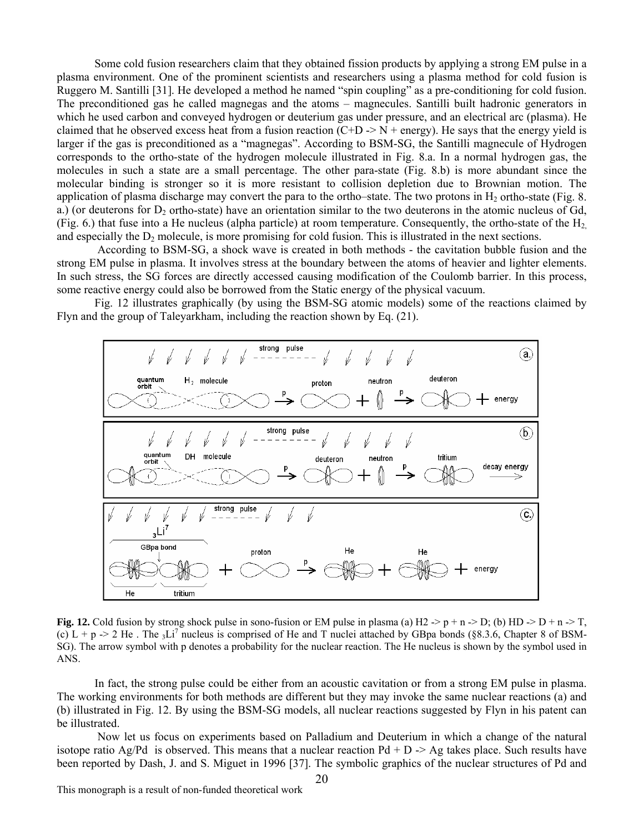Some cold fusion researchers claim that they obtained fission products by applying a strong EM pulse in a plasma environment. One of the prominent scientists and researchers using a plasma method for cold fusion is Ruggero M. Santilli [31]. He developed a method he named "spin coupling" as a pre-conditioning for cold fusion. The preconditioned gas he called magnegas and the atoms – magnecules. Santilli built hadronic generators in which he used carbon and conveyed hydrogen or deuterium gas under pressure, and an electrical arc (plasma). He claimed that he observed excess heat from a fusion reaction  $(C+D \rightarrow N + \text{energy})$ . He says that the energy yield is larger if the gas is preconditioned as a "magnegas". According to BSM-SG, the Santilli magnecule of Hydrogen corresponds to the ortho-state of the hydrogen molecule illustrated in Fig. 8.a. In a normal hydrogen gas, the molecules in such a state are a small percentage. The other para-state (Fig. 8.b) is more abundant since the molecular binding is stronger so it is more resistant to collision depletion due to Brownian motion. The application of plasma discharge may convert the para to the ortho–state. The two protons in  $H_2$  ortho-state (Fig. 8. a.) (or deuterons for  $D_2$  ortho-state) have an orientation similar to the two deuterons in the atomic nucleus of Gd, (Fig. 6.) that fuse into a He nucleus (alpha particle) at room temperature. Consequently, the ortho-state of the  $H_2$ and especially the  $D<sub>2</sub>$  molecule, is more promising for cold fusion. This is illustrated in the next sections.

 According to BSM-SG, a shock wave is created in both methods - the cavitation bubble fusion and the strong EM pulse in plasma. It involves stress at the boundary between the atoms of heavier and lighter elements. In such stress, the SG forces are directly accessed causing modification of the Coulomb barrier. In this process, some reactive energy could also be borrowed from the Static energy of the physical vacuum.

Fig. 12 illustrates graphically (by using the BSM-SG atomic models) some of the reactions claimed by Flyn and the group of Taleyarkham, including the reaction shown by Eq. (21).



**Fig. 12.** Cold fusion by strong shock pulse in sono-fusion or EM pulse in plasma (a) H2 -> p + n -> D; (b) HD -> D + n -> T, (c)  $L + p$   $>$  2 He. The 3Li<sup>7</sup> nucleus is comprised of He and T nuclei attached by GBpa bonds (§8.3.6, Chapter 8 of BSM-SG). The arrow symbol with p denotes a probability for the nuclear reaction. The He nucleus is shown by the symbol used in ANS.

In fact, the strong pulse could be either from an acoustic cavitation or from a strong EM pulse in plasma. The working environments for both methods are different but they may invoke the same nuclear reactions (a) and (b) illustrated in Fig. 12. By using the BSM-SG models, all nuclear reactions suggested by Flyn in his patent can be illustrated.

Now let us focus on experiments based on Palladium and Deuterium in which a change of the natural isotope ratio Ag/Pd is observed. This means that a nuclear reaction  $Pd + D \rightarrow Ag$  takes place. Such results have been reported by Dash, J. and S. Miguet in 1996 [37]. The symbolic graphics of the nuclear structures of Pd and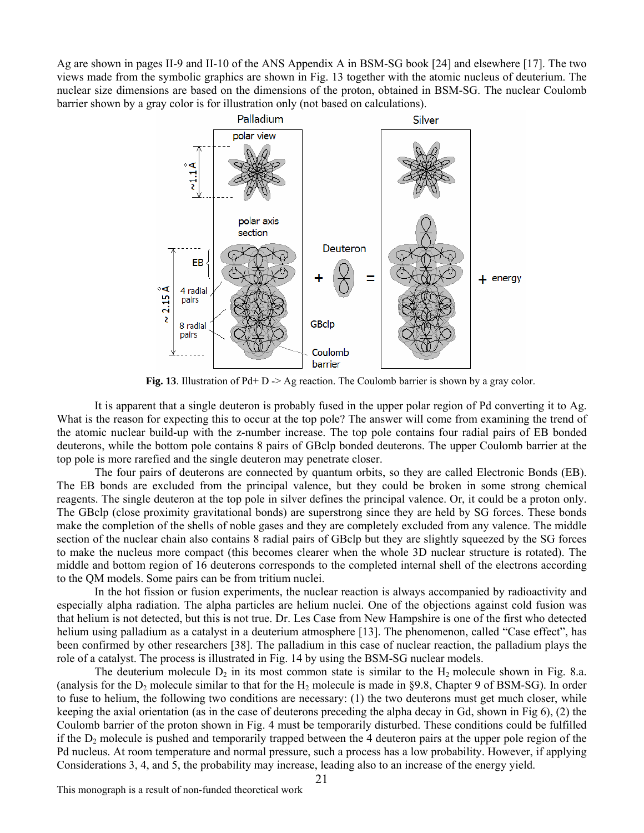Ag are shown in pages II-9 and II-10 of the ANS Appendix A in BSM-SG book [24] and elsewhere [17]. The two views made from the symbolic graphics are shown in Fig. 13 together with the atomic nucleus of deuterium. The nuclear size dimensions are based on the dimensions of the proton, obtained in BSM-SG. The nuclear Coulomb barrier shown by a gray color is for illustration only (not based on calculations).



**Fig. 13**. Illustration of Pd+ D -> Ag reaction. The Coulomb barrier is shown by a gray color.

It is apparent that a single deuteron is probably fused in the upper polar region of Pd converting it to Ag. What is the reason for expecting this to occur at the top pole? The answer will come from examining the trend of the atomic nuclear build-up with the z-number increase. The top pole contains four radial pairs of EB bonded deuterons, while the bottom pole contains 8 pairs of GBclp bonded deuterons. The upper Coulomb barrier at the top pole is more rarefied and the single deuteron may penetrate closer.

The four pairs of deuterons are connected by quantum orbits, so they are called Electronic Bonds (EB). The EB bonds are excluded from the principal valence, but they could be broken in some strong chemical reagents. The single deuteron at the top pole in silver defines the principal valence. Or, it could be a proton only. The GBclp (close proximity gravitational bonds) are superstrong since they are held by SG forces. These bonds make the completion of the shells of noble gases and they are completely excluded from any valence. The middle section of the nuclear chain also contains 8 radial pairs of GBclp but they are slightly squeezed by the SG forces to make the nucleus more compact (this becomes clearer when the whole 3D nuclear structure is rotated). The middle and bottom region of 16 deuterons corresponds to the completed internal shell of the electrons according to the QM models. Some pairs can be from tritium nuclei.

In the hot fission or fusion experiments, the nuclear reaction is always accompanied by radioactivity and especially alpha radiation. The alpha particles are helium nuclei. One of the objections against cold fusion was that helium is not detected, but this is not true. Dr. Les Case from New Hampshire is one of the first who detected helium using palladium as a catalyst in a deuterium atmosphere [13]. The phenomenon, called "Case effect", has been confirmed by other researchers [38]. The palladium in this case of nuclear reaction, the palladium plays the role of a catalyst. The process is illustrated in Fig. 14 by using the BSM-SG nuclear models.

The deuterium molecule  $D_2$  in its most common state is similar to the  $H_2$  molecule shown in Fig. 8.a. (analysis for the  $D_2$  molecule similar to that for the  $H_2$  molecule is made in §9.8, Chapter 9 of BSM-SG). In order to fuse to helium, the following two conditions are necessary: (1) the two deuterons must get much closer, while keeping the axial orientation (as in the case of deuterons preceding the alpha decay in Gd, shown in Fig 6), (2) the Coulomb barrier of the proton shown in Fig. 4 must be temporarily disturbed. These conditions could be fulfilled if the  $D_2$  molecule is pushed and temporarily trapped between the 4 deuteron pairs at the upper pole region of the Pd nucleus. At room temperature and normal pressure, such a process has a low probability. However, if applying Considerations 3, 4, and 5, the probability may increase, leading also to an increase of the energy yield.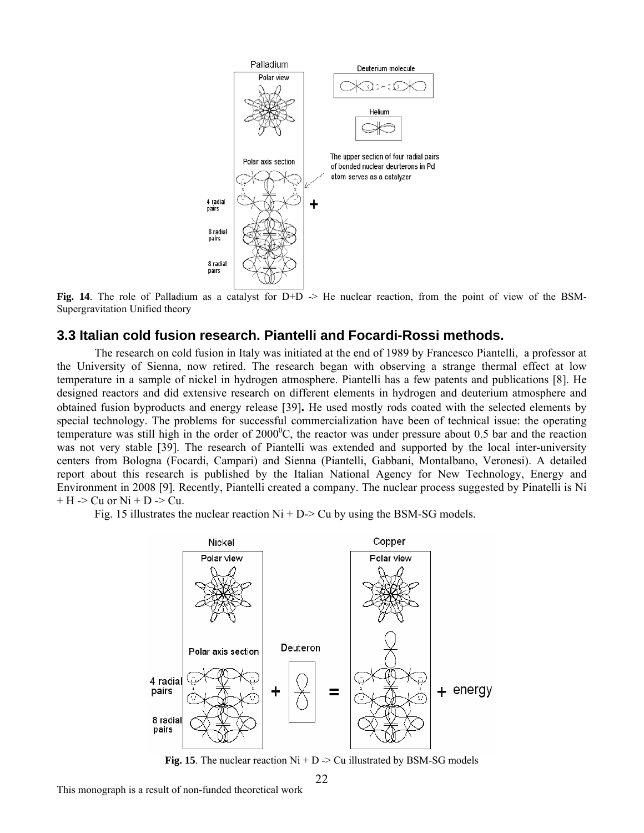

**Fig. 14**. The role of Palladium as a catalyst for D+D  $\rightarrow$  He nuclear reaction, from the point of view of the BSM-Supergravitation Unified theory

# **3.3 Italian cold fusion research. Piantelli and Focardi-Rossi methods.**

The research on cold fusion in Italy was initiated at the end of 1989 by Francesco Piantelli, a professor at the University of Sienna, now retired. The research began with observing a strange thermal effect at low temperature in a sample of nickel in hydrogen atmosphere. Piantelli has a few patents and publications [8]. He designed reactors and did extensive research on different elements in hydrogen and deuterium atmosphere and obtained fusion byproducts and energy release [39]**.** He used mostly rods coated with the selected elements by special technology. The problems for successful commercialization have been of technical issue: the operating temperature was still high in the order of  $2000^{\circ}$ C, the reactor was under pressure about 0.5 bar and the reaction was not very stable [39]. The research of Piantelli was extended and supported by the local inter-university centers from Bologna (Focardi, Campari) and Sienna (Piantelli, Gabbani, Montalbano, Veronesi). A detailed report about this research is published by the Italian National Agency for New Technology, Energy and Environment in 2008 [9]. Recently, Piantelli created a company. The nuclear process suggested by Pinatelli is Ni  $+ H$  -> Cu or Ni + D -> Cu.

Fig. 15 illustrates the nuclear reaction  $Ni + D \geq Cu$  by using the BSM-SG models.



**Fig. 15**. The nuclear reaction  $Ni + D \geq Cu$  illustrated by BSM-SG models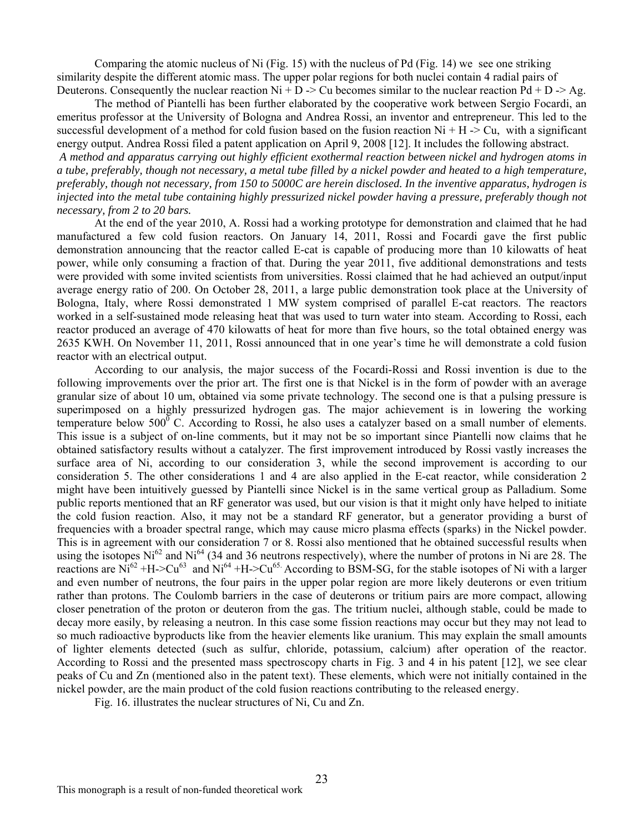Comparing the atomic nucleus of Ni (Fig. 15) with the nucleus of Pd (Fig. 14) we see one striking similarity despite the different atomic mass. The upper polar regions for both nuclei contain 4 radial pairs of Deuterons. Consequently the nuclear reaction  $Ni + D \rightarrow Cu$  becomes similar to the nuclear reaction  $Pd + D \rightarrow Ag$ .

 The method of Piantelli has been further elaborated by the cooperative work between Sergio Focardi, an emeritus professor at the University of Bologna and Andrea Rossi, an inventor and entrepreneur. This led to the successful development of a method for cold fusion based on the fusion reaction  $Ni + H \rightarrow Cu$ , with a significant energy output. Andrea Rossi filed a patent application on April 9, 2008 [12]. It includes the following abstract.

 *A method and apparatus carrying out highly efficient exothermal reaction between nickel and hydrogen atoms in a tube, preferably, though not necessary, a metal tube filled by a nickel powder and heated to a high temperature, preferably, though not necessary, from 150 to 5000C are herein disclosed. In the inventive apparatus, hydrogen is injected into the metal tube containing highly pressurized nickel powder having a pressure, preferably though not necessary, from 2 to 20 bars.* 

 At the end of the year 2010, A. Rossi had a working prototype for demonstration and claimed that he had manufactured a few cold fusion reactors. On January 14, 2011, Rossi and Focardi gave the first public demonstration announcing that the reactor called E-cat is capable of producing more than 10 kilowatts of heat power, while only consuming a fraction of that. During the year 2011, five additional demonstrations and tests were provided with some invited scientists from universities. Rossi claimed that he had achieved an output/input average energy ratio of 200. On October 28, 2011, a large public demonstration took place at the University of Bologna, Italy, where Rossi demonstrated 1 MW system comprised of parallel E-cat reactors. The reactors worked in a self-sustained mode releasing heat that was used to turn water into steam. According to Rossi, each reactor produced an average of 470 kilowatts of heat for more than five hours, so the total obtained energy was 2635 KWH. On November 11, 2011, Rossi announced that in one year's time he will demonstrate a cold fusion reactor with an electrical output.

 According to our analysis, the major success of the Focardi-Rossi and Rossi invention is due to the following improvements over the prior art. The first one is that Nickel is in the form of powder with an average granular size of about 10 um, obtained via some private technology. The second one is that a pulsing pressure is superimposed on a highly pressurized hydrogen gas. The major achievement is in lowering the working temperature below  $500^{\circ}$  C. According to Rossi, he also uses a catalyzer based on a small number of elements. This issue is a subject of on-line comments, but it may not be so important since Piantelli now claims that he obtained satisfactory results without a catalyzer. The first improvement introduced by Rossi vastly increases the surface area of Ni, according to our consideration 3, while the second improvement is according to our consideration 5. The other considerations 1 and 4 are also applied in the E-cat reactor, while consideration 2 might have been intuitively guessed by Piantelli since Nickel is in the same vertical group as Palladium. Some public reports mentioned that an RF generator was used, but our vision is that it might only have helped to initiate the cold fusion reaction. Also, it may not be a standard RF generator, but a generator providing a burst of frequencies with a broader spectral range, which may cause micro plasma effects (sparks) in the Nickel powder. This is in agreement with our consideration 7 or 8. Rossi also mentioned that he obtained successful results when using the isotopes  $Ni^{62}$  and  $Ni^{64}$  (34 and 36 neutrons respectively), where the number of protons in Ni are 28. The reactions are  $\text{Ni}^{62}$  +H->Cu<sup>63</sup> and Ni<sup>64</sup> +H->Cu<sup>65.</sup> According to BSM-SG, for the stable isotopes of Ni with a larger and even number of neutrons, the four pairs in the upper polar region are more likely deuterons or even tritium rather than protons. The Coulomb barriers in the case of deuterons or tritium pairs are more compact, allowing closer penetration of the proton or deuteron from the gas. The tritium nuclei, although stable, could be made to decay more easily, by releasing a neutron. In this case some fission reactions may occur but they may not lead to so much radioactive byproducts like from the heavier elements like uranium. This may explain the small amounts of lighter elements detected (such as sulfur, chloride, potassium, calcium) after operation of the reactor. According to Rossi and the presented mass spectroscopy charts in Fig. 3 and 4 in his patent [12], we see clear peaks of Cu and Zn (mentioned also in the patent text). These elements, which were not initially contained in the nickel powder, are the main product of the cold fusion reactions contributing to the released energy.

Fig. 16. illustrates the nuclear structures of Ni, Cu and Zn.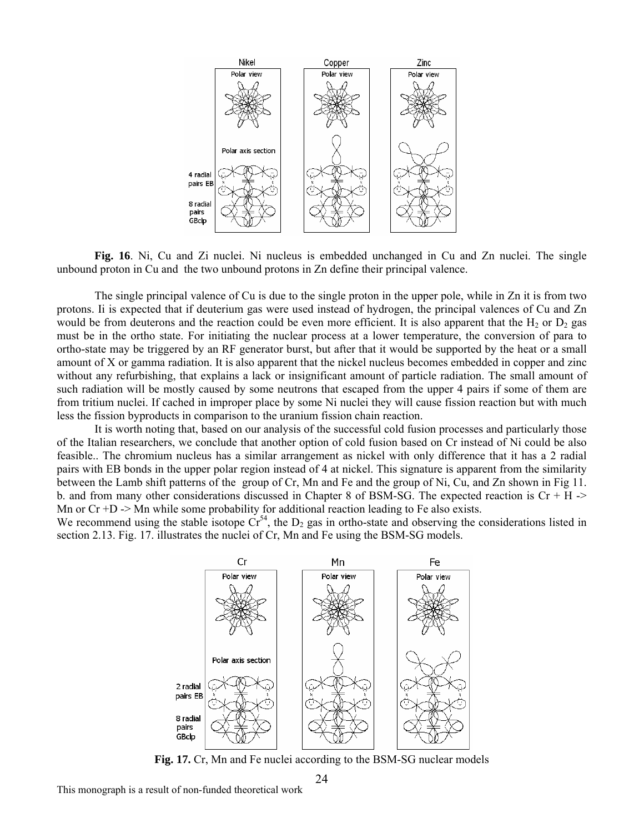

**Fig. 16**. Ni, Cu and Zi nuclei. Ni nucleus is embedded unchanged in Cu and Zn nuclei. The single unbound proton in Cu and the two unbound protons in Zn define their principal valence.

 The single principal valence of Cu is due to the single proton in the upper pole, while in Zn it is from two protons. Ii is expected that if deuterium gas were used instead of hydrogen, the principal valences of Cu and Zn would be from deuterons and the reaction could be even more efficient. It is also apparent that the  $H_2$  or  $D_2$  gas must be in the ortho state. For initiating the nuclear process at a lower temperature, the conversion of para to ortho-state may be triggered by an RF generator burst, but after that it would be supported by the heat or a small amount of X or gamma radiation. It is also apparent that the nickel nucleus becomes embedded in copper and zinc without any refurbishing, that explains a lack or insignificant amount of particle radiation. The small amount of such radiation will be mostly caused by some neutrons that escaped from the upper 4 pairs if some of them are from tritium nuclei. If cached in improper place by some Ni nuclei they will cause fission reaction but with much less the fission byproducts in comparison to the uranium fission chain reaction.

It is worth noting that, based on our analysis of the successful cold fusion processes and particularly those feasible.. The chromium nucleus has a similar arrangement as nickel with only difference that it has a 2 radial pairs with EB bonds in the upper polar region instead of 4 at nickel. This signature is apparent from the similarity of the Italian researchers, we conclude that another option of cold fusion based on Cr instead of Ni could be also between the Lamb shift patterns of the group of Cr, Mn and Fe and the group of Ni, Cu, and Zn shown in Fig 11. b. and from many other considerations discussed in Chapter 8 of BSM-SG. The expected reaction is  $Cr + H \rightarrow$ Mn or  $Cr + D \rightarrow Mn$  while some probability for additional reaction leading to Fe also exists.

We recommend using the stable isotope  $\check{Cr}^{54}$ , the D<sub>2</sub> gas in ortho-state and observing the considerations listed in section 2.13. Fig. 17. illustrates the nuclei of Cr, Mn and Fe using the BSM-SG models.



**Fig. 17.** Cr, Mn and Fe nuclei according to the BSM-SG nuclear models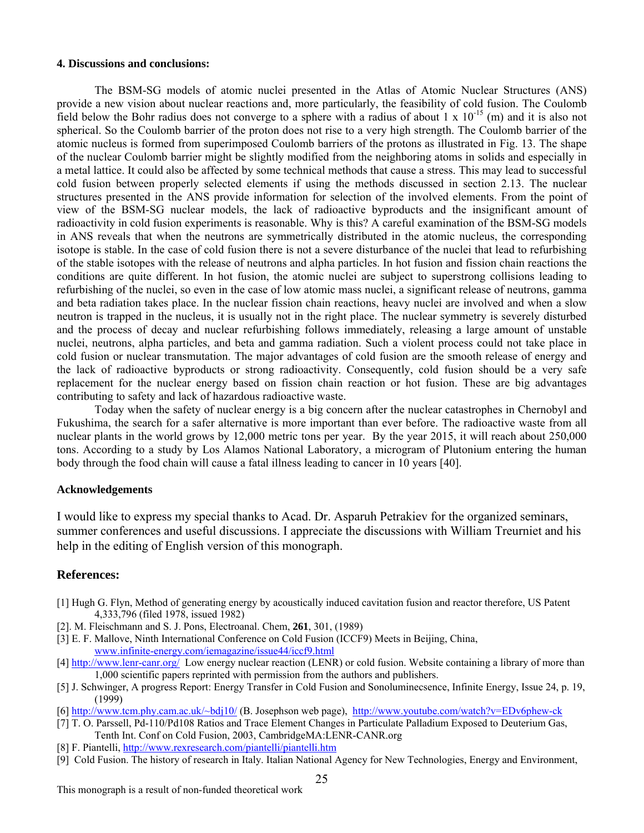#### **4. Discussions and conclusions:**

The BSM-SG models of atomic nuclei presented in the Atlas of Atomic Nuclear Structures (ANS) provide a new vision about nuclear reactions and, more particularly, the feasibility of cold fusion. The Coulomb field below the Bohr radius does not converge to a sphere with a radius of about  $1 \times 10^{-15}$  (m) and it is also not spherical. So the Coulomb barrier of the proton does not rise to a very high strength. The Coulomb barrier of the atomic nucleus is formed from superimposed Coulomb barriers of the protons as illustrated in Fig. 13. The shape of the nuclear Coulomb barrier might be slightly modified from the neighboring atoms in solids and especially in a metal lattice. It could also be affected by some technical methods that cause a stress. This may lead to successful cold fusion between properly selected elements if using the methods discussed in section 2.13. The nuclear structures presented in the ANS provide information for selection of the involved elements. From the point of view of the BSM-SG nuclear models, the lack of radioactive byproducts and the insignificant amount of radioactivity in cold fusion experiments is reasonable. Why is this? A careful examination of the BSM-SG models in ANS reveals that when the neutrons are symmetrically distributed in the atomic nucleus, the corresponding isotope is stable. In the case of cold fusion there is not a severe disturbance of the nuclei that lead to refurbishing of the stable isotopes with the release of neutrons and alpha particles. In hot fusion and fission chain reactions the conditions are quite different. In hot fusion, the atomic nuclei are subject to superstrong collisions leading to refurbishing of the nuclei, so even in the case of low atomic mass nuclei, a significant release of neutrons, gamma and bet a radiation takes place. In the nuclear fission chain reactions, heavy nuclei are involved and when a slow neutron is trapped in the nucleus, it is usually not in the right place. The nuclear symmetry is severely disturbed and the process of decay and nuclear refurbishing follows immediately, releasing a large amount of unstable nuclei, neutrons, alpha particles, and beta and gamma radiation. Such a violent process could not take place in cold fusion or nuclear transmutation. The major advantages of cold fusion are the smooth release of energy and the lack of radioactive byproducts or strong radioactivity. Consequently, cold fusion should be a very safe replacement for the nuclear energy based on fission chain reaction or hot fusion. These are big advantages contributing to safety and lack of hazardous radioactive waste.

Today when the safety of nuclear energy is a big concern after the nuclear catastrophes in Chernobyl and Fukushima, the search for a safer alternative is more important than ever before. The radioactive waste from all nuclear plants in the world grows by 12,000 metric tons per year. By the year 2015, it will reach about 250,000 tons. According to a study by Los Alamos National Laboratory, a microgram of Plutonium entering the human body through the food chain will cause a fatal illness leading to cancer in 10 years [40].

### **Acknowledgements**

I would like to express my special thanks to Acad. Dr. Asparuh Petrakiev for the organized seminars, summer conferences and useful discussions. I appreciate the discussions with William Treurniet and his help in the editing of English version of this monograph.

### **References:**

- [1] Hugh G. Flyn, Method of generating energy by acoustically induced cavitation fusion and reactor therefore, US Patent 4,333,796 (filed 1978, issued 1982)
- [2]. M. Fleischmann and S. J. Pons, Electroanal. Chem, **261**, 301, (1989)
- [3] E. F. Mallove, Ninth International Conference on Cold Fusion (ICCF9) Meets in Beijing, China, www.infinite-energy.com/iemagazine/issue44/iccf9.html
- [4] http://www.lenr-canr.org/ Low energy nuclear reaction (LENR) or cold fusion. Website containing a library of more than 1,000 scientific papers reprinted with permission from the authors and publishers.
- [5] J. Schwinger, A progress Report: Energy Transfer in Cold Fusion and Sonoluminecsence, Infinite Energy, Issue 24, p. 19, (1999)
- [6] http://www.tcm.phy.cam.ac.uk/~bdj10/ (B. Josephson web page), http://www.youtube.com/watch?v=EDv6phew-ck
- [7] T. O. Parssell, Pd-110/Pd108 Ratios and Trace Element Changes in Particulate Palladium Exposed to Deuterium Gas,
- Tenth Int. Conf on Cold Fusion, 2003, CambridgeMA:LENR-CANR.org
- [8] F. Piantelli, http://www.rexresearch.com/piantelli/piantelli.htm
- [9] Cold Fusion. The history of research in Italy. Italian National Agency for New Technologies, Energy and Environment,